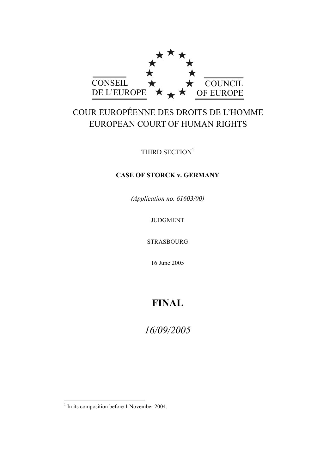

# COUR EUROPÉENNE DES DROITS DE L'HOMME EUROPEAN COURT OF HUMAN RIGHTS

THIRD SECTION<sup>1</sup>

# **CASE OF STORCK v. GERMANY**

*(Application no. 61603/00)*

JUDGMENT

STRASBOURG

16 June 2005

# **FINAL**

*16/09/2005*

 $<sup>1</sup>$  In its composition before 1 November 2004.</sup>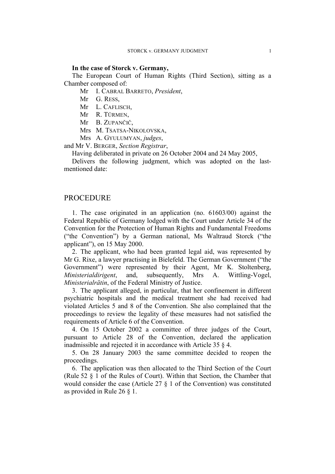#### **In the case of Storck v. Germany,**

The European Court of Human Rights (Third Section), sitting as a Chamber composed of:

Mr I. CABRAL BARRETO, *President*,

- Mr G. RESS,
- Mr L. CAFLISCH,
- Mr R. TÜRMEN,
- Mr B. ZUPANČIČ,
- Mrs M. TSATSA-NIKOLOVSKA,
- Mrs A. GYULUMYAN, *judges*,

and Mr V. BERGER, *Section Registrar*,

Having deliberated in private on 26 October 2004 and 24 May 2005,

Delivers the following judgment, which was adopted on the lastmentioned date:

# PROCEDURE

1. The case originated in an application (no. 61603/00) against the Federal Republic of Germany lodged with the Court under Article 34 of the Convention for the Protection of Human Rights and Fundamental Freedoms ("the Convention") by a German national, Ms Waltraud Storck ("the applicant"), on 15 May 2000.

2. The applicant, who had been granted legal aid, was represented by Mr G. Rixe, a lawyer practising in Bielefeld. The German Government ("the Government") were represented by their Agent, Mr K. Stoltenberg, *Ministerialdirigent*, and, subsequently, Mrs A. Wittling-Vogel, *Ministerialrätin*, of the Federal Ministry of Justice.

3. The applicant alleged, in particular, that her confinement in different psychiatric hospitals and the medical treatment she had received had violated Articles 5 and 8 of the Convention. She also complained that the proceedings to review the legality of these measures had not satisfied the requirements of Article 6 of the Convention.

4. On 15 October 2002 a committee of three judges of the Court, pursuant to Article 28 of the Convention, declared the application inadmissible and rejected it in accordance with Article 35 § 4.

5. On 28 January 2003 the same committee decided to reopen the proceedings.

6. The application was then allocated to the Third Section of the Court (Rule 52 § 1 of the Rules of Court). Within that Section, the Chamber that would consider the case (Article 27 § 1 of the Convention) was constituted as provided in Rule 26 § 1.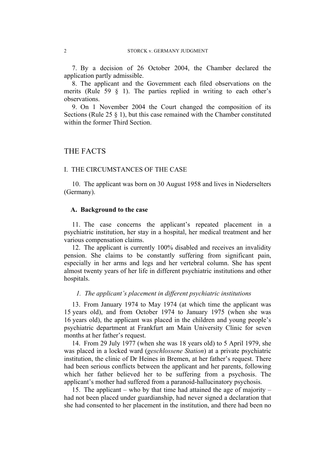7. By a decision of 26 October 2004, the Chamber declared the application partly admissible.

8. The applicant and the Government each filed observations on the merits (Rule 59  $\frac{8}{1}$ ). The parties replied in writing to each other's observations.

9. On 1 November 2004 the Court changed the composition of its Sections (Rule 25 § 1), but this case remained with the Chamber constituted within the former Third Section.

# THE FACTS

# I. THE CIRCUMSTANCES OF THE CASE

10. The applicant was born on 30 August 1958 and lives in Niederselters (Germany).

### **A. Background to the case**

11. The case concerns the applicant's repeated placement in a psychiatric institution, her stay in a hospital, her medical treatment and her various compensation claims.

12. The applicant is currently 100% disabled and receives an invalidity pension. She claims to be constantly suffering from significant pain, especially in her arms and legs and her vertebral column. She has spent almost twenty years of her life in different psychiatric institutions and other hospitals.

### *1. The applicant's placement in different psychiatric institutions*

13. From January 1974 to May 1974 (at which time the applicant was 15 years old), and from October 1974 to January 1975 (when she was 16 years old), the applicant was placed in the children and young people's psychiatric department at Frankfurt am Main University Clinic for seven months at her father's request.

14. From 29 July 1977 (when she was 18 years old) to 5 April 1979, she was placed in a locked ward (*geschlossene Station*) at a private psychiatric institution, the clinic of Dr Heines in Bremen, at her father's request. There had been serious conflicts between the applicant and her parents, following which her father believed her to be suffering from a psychosis. The applicant's mother had suffered from a paranoid-hallucinatory psychosis.

15. The applicant – who by that time had attained the age of majority – had not been placed under guardianship, had never signed a declaration that she had consented to her placement in the institution, and there had been no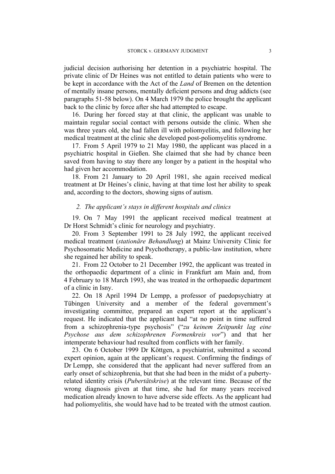judicial decision authorising her detention in a psychiatric hospital. The private clinic of Dr Heines was not entitled to detain patients who were to be kept in accordance with the Act of the *Land* of Bremen on the detention of mentally insane persons, mentally deficient persons and drug addicts (see paragraphs 51-58 below). On 4 March 1979 the police brought the applicant back to the clinic by force after she had attempted to escape.

16. During her forced stay at that clinic, the applicant was unable to maintain regular social contact with persons outside the clinic. When she was three years old, she had fallen ill with poliomyelitis, and following her medical treatment at the clinic she developed post-poliomyelitis syndrome.

17. From 5 April 1979 to 21 May 1980, the applicant was placed in a psychiatric hospital in Gießen. She claimed that she had by chance been saved from having to stay there any longer by a patient in the hospital who had given her accommodation.

18. From 21 January to 20 April 1981, she again received medical treatment at Dr Heines's clinic, having at that time lost her ability to speak and, according to the doctors, showing signs of autism.

### *2. The applicant's stays in different hospitals and clinics*

19. On 7 May 1991 the applicant received medical treatment at Dr Horst Schmidt's clinic for neurology and psychiatry.

20. From 3 September 1991 to 28 July 1992, the applicant received medical treatment (*stationäre Behandlung*) at Mainz University Clinic for Psychosomatic Medicine and Psychotherapy, a public-law institution, where she regained her ability to speak.

21. From 22 October to 21 December 1992, the applicant was treated in the orthopaedic department of a clinic in Frankfurt am Main and, from 4 February to 18 March 1993, she was treated in the orthopaedic department of a clinic in Isny.

22. On 18 April 1994 Dr Lempp, a professor of paedopsychiatry at Tübingen University and a member of the federal government's investigating committee, prepared an expert report at the applicant's request. He indicated that the applicant had "at no point in time suffered from a schizophrenia-type psychosis" ("*zu keinem Zeitpunkt lag eine Psychose aus dem schizophrenen Formenkreis vor*") and that her intemperate behaviour had resulted from conflicts with her family.

23. On 6 October 1999 Dr Köttgen, a psychiatrist, submitted a second expert opinion, again at the applicant's request. Confirming the findings of Dr Lempp, she considered that the applicant had never suffered from an early onset of schizophrenia, but that she had been in the midst of a pubertyrelated identity crisis (*Pubertätskrise*) at the relevant time. Because of the wrong diagnosis given at that time, she had for many years received medication already known to have adverse side effects. As the applicant had had poliomyelitis, she would have had to be treated with the utmost caution.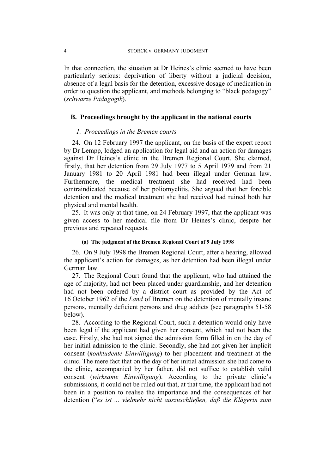In that connection, the situation at Dr Heines's clinic seemed to have been particularly serious: deprivation of liberty without a judicial decision, absence of a legal basis for the detention, excessive dosage of medication in order to question the applicant, and methods belonging to "black pedagogy" (*schwarze Pädagogik*).

# **B. Proceedings brought by the applicant in the national courts**

## *1. Proceedings in the Bremen courts*

24. On 12 February 1997 the applicant, on the basis of the expert report by Dr Lempp, lodged an application for legal aid and an action for damages against Dr Heines's clinic in the Bremen Regional Court. She claimed, firstly, that her detention from 29 July 1977 to 5 April 1979 and from 21 January 1981 to 20 April 1981 had been illegal under German law. Furthermore, the medical treatment she had received had been contraindicated because of her poliomyelitis. She argued that her forcible detention and the medical treatment she had received had ruined both her physical and mental health.

25. It was only at that time, on 24 February 1997, that the applicant was given access to her medical file from Dr Heines's clinic, despite her previous and repeated requests.

#### **(a) The judgment of the Bremen Regional Court of 9 July 1998**

26. On 9 July 1998 the Bremen Regional Court, after a hearing, allowed the applicant's action for damages, as her detention had been illegal under German law.

27. The Regional Court found that the applicant, who had attained the age of majority, had not been placed under guardianship, and her detention had not been ordered by a district court as provided by the Act of 16 October 1962 of the *Land* of Bremen on the detention of mentally insane persons, mentally deficient persons and drug addicts (see paragraphs 51-58 below).

28. According to the Regional Court, such a detention would only have been legal if the applicant had given her consent, which had not been the case. Firstly, she had not signed the admission form filled in on the day of her initial admission to the clinic. Secondly, she had not given her implicit consent (*konkludente Einwilligung*) to her placement and treatment at the clinic. The mere fact that on the day of her initial admission she had come to the clinic, accompanied by her father, did not suffice to establish valid consent (*wirksame Einwilligung*). According to the private clinic's submissions, it could not be ruled out that, at that time, the applicant had not been in a position to realise the importance and the consequences of her detention ("*es ist ... vielmehr nicht auszuschließen, daß die Klägerin zum*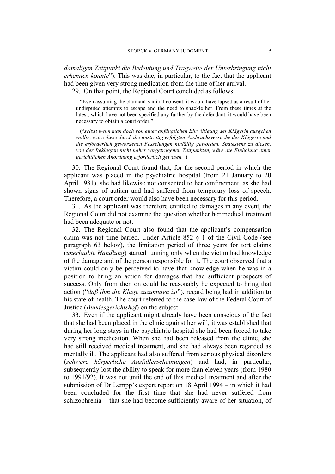*damaligen Zeitpunkt die Bedeutung und Tragweite der Unterbringung nicht erkennen konnte*"). This was due, in particular, to the fact that the applicant had been given very strong medication from the time of her arrival.

29. On that point, the Regional Court concluded as follows:

"Even assuming the claimant's initial consent, it would have lapsed as a result of her undisputed attempts to escape and the need to shackle her. From these times at the latest, which have not been specified any further by the defendant, it would have been necessary to obtain a court order."

("*selbst wenn man doch von einer anfänglichen Einwilligung der Klägerin ausgehen wollte, wäre diese durch die unstreitig erfolgten Ausbruchsversuche der Klägerin und die erforderlich gewordenen Fesselungen hinfällig geworden. Spätestens zu diesen,*  von der Beklagten nicht näher vorgetragenen Zeitpunkten, wäre die Einholung einer *gerichtlichen Anordnung erforderlich gewesen.*")

30. The Regional Court found that, for the second period in which the applicant was placed in the psychiatric hospital (from 21 January to 20 April 1981), she had likewise not consented to her confinement, as she had shown signs of autism and had suffered from temporary loss of speech. Therefore, a court order would also have been necessary for this period.

31. As the applicant was therefore entitled to damages in any event, the Regional Court did not examine the question whether her medical treatment had been adequate or not.

32. The Regional Court also found that the applicant's compensation claim was not time-barred. Under Article 852 § 1 of the Civil Code (see paragraph 63 below), the limitation period of three years for tort claims (*unerlaubte Handlung*) started running only when the victim had knowledge of the damage and of the person responsible for it. The court observed that a victim could only be perceived to have that knowledge when he was in a position to bring an action for damages that had sufficient prospects of success. Only from then on could he reasonably be expected to bring that action ("*daß ihm die Klage zuzumuten ist*"), regard being had in addition to his state of health. The court referred to the case-law of the Federal Court of Justice (*Bundesgerichtshof*) on the subject.

33. Even if the applicant might already have been conscious of the fact that she had been placed in the clinic against her will, it was established that during her long stays in the psychiatric hospital she had been forced to take very strong medication. When she had been released from the clinic, she had still received medical treatment, and she had always been regarded as mentally ill. The applicant had also suffered from serious physical disorders (*schwere körperliche Ausfallerscheinungen*) and had, in particular, subsequently lost the ability to speak for more than eleven years (from 1980 to 1991/92). It was not until the end of this medical treatment and after the submission of Dr Lempp's expert report on 18 April 1994 – in which it had been concluded for the first time that she had never suffered from schizophrenia – that she had become sufficiently aware of her situation, of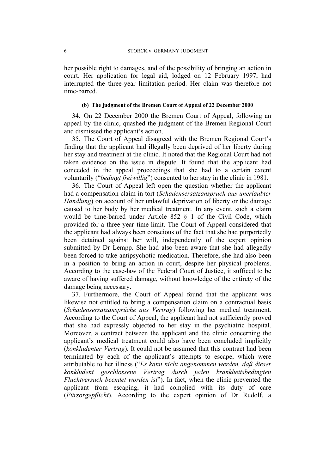her possible right to damages, and of the possibility of bringing an action in court. Her application for legal aid, lodged on 12 February 1997, had interrupted the three-year limitation period. Her claim was therefore not time-barred.

#### **(b) The judgment of the Bremen Court of Appeal of 22 December 2000**

34. On 22 December 2000 the Bremen Court of Appeal, following an appeal by the clinic, quashed the judgment of the Bremen Regional Court and dismissed the applicant's action.

35. The Court of Appeal disagreed with the Bremen Regional Court's finding that the applicant had illegally been deprived of her liberty during her stay and treatment at the clinic. It noted that the Regional Court had not taken evidence on the issue in dispute. It found that the applicant had conceded in the appeal proceedings that she had to a certain extent voluntarily ("*bedingt freiwillig*") consented to her stay in the clinic in 1981.

36. The Court of Appeal left open the question whether the applicant had a compensation claim in tort (*Schadensersatzanspruch aus unerlaubter Handlung*) on account of her unlawful deprivation of liberty or the damage caused to her body by her medical treatment. In any event, such a claim would be time-barred under Article 852 § 1 of the Civil Code, which provided for a three-year time-limit. The Court of Appeal considered that the applicant had always been conscious of the fact that she had purportedly been detained against her will, independently of the expert opinion submitted by Dr Lempp. She had also been aware that she had allegedly been forced to take antipsychotic medication. Therefore, she had also been in a position to bring an action in court, despite her physical problems. According to the case-law of the Federal Court of Justice, it sufficed to be aware of having suffered damage, without knowledge of the entirety of the damage being necessary.

37. Furthermore, the Court of Appeal found that the applicant was likewise not entitled to bring a compensation claim on a contractual basis (*Schadensersatzansprüche aus Vertrag*) following her medical treatment. According to the Court of Appeal, the applicant had not sufficiently proved that she had expressly objected to her stay in the psychiatric hospital. Moreover, a contract between the applicant and the clinic concerning the applicant's medical treatment could also have been concluded implicitly (*konkludenter Vertrag*). It could not be assumed that this contract had been terminated by each of the applicant's attempts to escape, which were attributable to her illness ("*Es kann nicht angenommen werden, daß dieser konkludent geschlossene Vertrag durch jeden krankheitsbedingten Fluchtversuch beendet worden ist*"). In fact, when the clinic prevented the applicant from escaping, it had complied with its duty of care (*Fürsorgepflicht*). According to the expert opinion of Dr Rudolf, a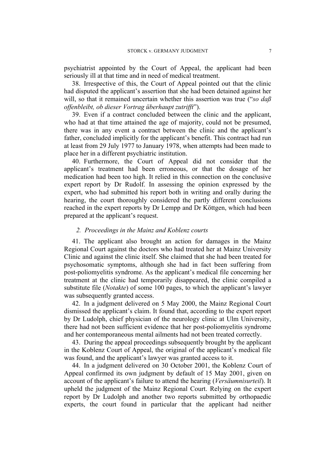psychiatrist appointed by the Court of Appeal, the applicant had been seriously ill at that time and in need of medical treatment.

38. Irrespective of this, the Court of Appeal pointed out that the clinic had disputed the applicant's assertion that she had been detained against her will, so that it remained uncertain whether this assertion was true ("*so daß offenbleibt, ob dieser Vortrag überhaupt zutrifft*").

39. Even if a contract concluded between the clinic and the applicant, who had at that time attained the age of majority, could not be presumed, there was in any event a contract between the clinic and the applicant's father, concluded implicitly for the applicant's benefit. This contract had run at least from 29 July 1977 to January 1978, when attempts had been made to place her in a different psychiatric institution.

40. Furthermore, the Court of Appeal did not consider that the applicant's treatment had been erroneous, or that the dosage of her medication had been too high. It relied in this connection on the conclusive expert report by Dr Rudolf. In assessing the opinion expressed by the expert, who had submitted his report both in writing and orally during the hearing, the court thoroughly considered the partly different conclusions reached in the expert reports by Dr Lempp and Dr Köttgen, which had been prepared at the applicant's request.

## *2. Proceedings in the Mainz and Koblenz courts*

41. The applicant also brought an action for damages in the Mainz Regional Court against the doctors who had treated her at Mainz University Clinic and against the clinic itself. She claimed that she had been treated for psychosomatic symptoms, although she had in fact been suffering from post-poliomyelitis syndrome. As the applicant's medical file concerning her treatment at the clinic had temporarily disappeared, the clinic compiled a substitute file (*Notakte*) of some 100 pages, to which the applicant's lawyer was subsequently granted access.

42. In a judgment delivered on 5 May 2000, the Mainz Regional Court dismissed the applicant's claim. It found that, according to the expert report by Dr Ludolph, chief physician of the neurology clinic at Ulm University, there had not been sufficient evidence that her post-poliomyelitis syndrome and her contemporaneous mental ailments had not been treated correctly.

43. During the appeal proceedings subsequently brought by the applicant in the Koblenz Court of Appeal, the original of the applicant's medical file was found, and the applicant's lawyer was granted access to it.

44. In a judgment delivered on 30 October 2001, the Koblenz Court of Appeal confirmed its own judgment by default of 15 May 2001, given on account of the applicant's failure to attend the hearing (*Versäumnisurteil*). It upheld the judgment of the Mainz Regional Court. Relying on the expert report by Dr Ludolph and another two reports submitted by orthopaedic experts, the court found in particular that the applicant had neither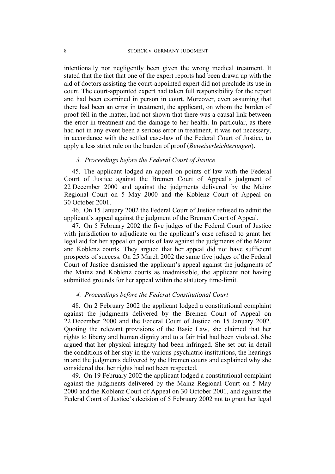intentionally nor negligently been given the wrong medical treatment. It stated that the fact that one of the expert reports had been drawn up with the aid of doctors assisting the court-appointed expert did not preclude its use in court. The court-appointed expert had taken full responsibility for the report and had been examined in person in court. Moreover, even assuming that there had been an error in treatment, the applicant, on whom the burden of proof fell in the matter, had not shown that there was a causal link between the error in treatment and the damage to her health. In particular, as there had not in any event been a serious error in treatment, it was not necessary, in accordance with the settled case-law of the Federal Court of Justice, to apply a less strict rule on the burden of proof (*Beweiserleichterungen*).

# *3. Proceedings before the Federal Court of Justice*

45. The applicant lodged an appeal on points of law with the Federal Court of Justice against the Bremen Court of Appeal's judgment of 22 December 2000 and against the judgments delivered by the Mainz Regional Court on 5 May 2000 and the Koblenz Court of Appeal on 30 October 2001.

46. On 15 January 2002 the Federal Court of Justice refused to admit the applicant's appeal against the judgment of the Bremen Court of Appeal.

47. On 5 February 2002 the five judges of the Federal Court of Justice with jurisdiction to adjudicate on the applicant's case refused to grant her legal aid for her appeal on points of law against the judgments of the Mainz and Koblenz courts. They argued that her appeal did not have sufficient prospects of success. On 25 March 2002 the same five judges of the Federal Court of Justice dismissed the applicant's appeal against the judgments of the Mainz and Koblenz courts as inadmissible, the applicant not having submitted grounds for her appeal within the statutory time-limit.

### *4. Proceedings before the Federal Constitutional Court*

48. On 2 February 2002 the applicant lodged a constitutional complaint against the judgments delivered by the Bremen Court of Appeal on 22 December 2000 and the Federal Court of Justice on 15 January 2002. Quoting the relevant provisions of the Basic Law, she claimed that her rights to liberty and human dignity and to a fair trial had been violated. She argued that her physical integrity had been infringed. She set out in detail the conditions of her stay in the various psychiatric institutions, the hearings in and the judgments delivered by the Bremen courts and explained why she considered that her rights had not been respected.

49. On 19 February 2002 the applicant lodged a constitutional complaint against the judgments delivered by the Mainz Regional Court on 5 May 2000 and the Koblenz Court of Appeal on 30 October 2001, and against the Federal Court of Justice's decision of 5 February 2002 not to grant her legal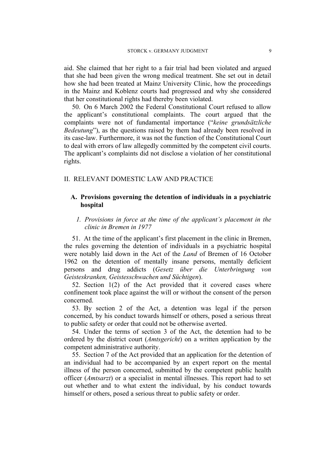aid. She claimed that her right to a fair trial had been violated and argued that she had been given the wrong medical treatment. She set out in detail how she had been treated at Mainz University Clinic, how the proceedings in the Mainz and Koblenz courts had progressed and why she considered that her constitutional rights had thereby been violated.

50. On 6 March 2002 the Federal Constitutional Court refused to allow the applicant's constitutional complaints. The court argued that the complaints were not of fundamental importance ("*keine grundsätzliche Bedeutung*"), as the questions raised by them had already been resolved in its case-law. Furthermore, it was not the function of the Constitutional Court to deal with errors of law allegedly committed by the competent civil courts. The applicant's complaints did not disclose a violation of her constitutional rights.

### II. RELEVANT DOMESTIC LAW AND PRACTICE

# **A. Provisions governing the detention of individuals in a psychiatric hospital**

# *1. Provisions in force at the time of the applicant's placement in the clinic in Bremen in 1977*

51. At the time of the applicant's first placement in the clinic in Bremen, the rules governing the detention of individuals in a psychiatric hospital were notably laid down in the Act of the *Land* of Bremen of 16 October 1962 on the detention of mentally insane persons, mentally deficient persons and drug addicts (*Gesetz über die Unterbringung von Geisteskranken, Geistesschwachen und Süchtigen*).

52. Section 1(2) of the Act provided that it covered cases where confinement took place against the will or without the consent of the person concerned.

53. By section 2 of the Act, a detention was legal if the person concerned, by his conduct towards himself or others, posed a serious threat to public safety or order that could not be otherwise averted.

54. Under the terms of section 3 of the Act, the detention had to be ordered by the district court (*Amtsgericht*) on a written application by the competent administrative authority.

55. Section 7 of the Act provided that an application for the detention of an individual had to be accompanied by an expert report on the mental illness of the person concerned, submitted by the competent public health officer (*Amtsarzt*) or a specialist in mental illnesses. This report had to set out whether and to what extent the individual, by his conduct towards himself or others, posed a serious threat to public safety or order.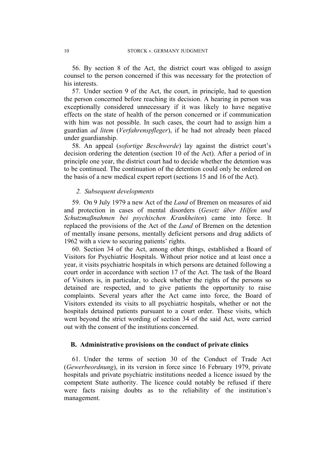56. By section 8 of the Act, the district court was obliged to assign counsel to the person concerned if this was necessary for the protection of his interests.

57. Under section 9 of the Act, the court, in principle, had to question the person concerned before reaching its decision. A hearing in person was exceptionally considered unnecessary if it was likely to have negative effects on the state of health of the person concerned or if communication with him was not possible. In such cases, the court had to assign him a guardian *ad litem* (*Verfahrenspfleger*), if he had not already been placed under guardianship.

58. An appeal (*sofortige Beschwerde*) lay against the district court's decision ordering the detention (section 10 of the Act). After a period of in principle one year, the district court had to decide whether the detention was to be continued. The continuation of the detention could only be ordered on the basis of a new medical expert report (sections 15 and 16 of the Act).

#### *2. Subsequent developments*

59. On 9 July 1979 a new Act of the *Land* of Bremen on measures of aid and protection in cases of mental disorders (*Gesetz über Hilfen und Schutzmaßnahmen bei psychischen Krankheiten*) came into force. It replaced the provisions of the Act of the *Land* of Bremen on the detention of mentally insane persons, mentally deficient persons and drug addicts of 1962 with a view to securing patients' rights.

60. Section 34 of the Act, among other things, established a Board of Visitors for Psychiatric Hospitals. Without prior notice and at least once a year, it visits psychiatric hospitals in which persons are detained following a court order in accordance with section 17 of the Act. The task of the Board of Visitors is, in particular, to check whether the rights of the persons so detained are respected, and to give patients the opportunity to raise complaints. Several years after the Act came into force, the Board of Visitors extended its visits to all psychiatric hospitals, whether or not the hospitals detained patients pursuant to a court order. These visits, which went beyond the strict wording of section 34 of the said Act, were carried out with the consent of the institutions concerned.

### **B. Administrative provisions on the conduct of private clinics**

61. Under the terms of section 30 of the Conduct of Trade Act (*Gewerbeordnung*), in its version in force since 16 February 1979, private hospitals and private psychiatric institutions needed a licence issued by the competent State authority. The licence could notably be refused if there were facts raising doubts as to the reliability of the institution's management.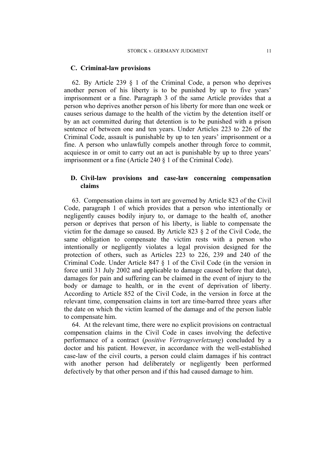### **C. Criminal-law provisions**

62. By Article 239 § 1 of the Criminal Code, a person who deprives another person of his liberty is to be punished by up to five years' imprisonment or a fine. Paragraph 3 of the same Article provides that a person who deprives another person of his liberty for more than one week or causes serious damage to the health of the victim by the detention itself or by an act committed during that detention is to be punished with a prison sentence of between one and ten years. Under Articles 223 to 226 of the Criminal Code, assault is punishable by up to ten years' imprisonment or a fine. A person who unlawfully compels another through force to commit, acquiesce in or omit to carry out an act is punishable by up to three years' imprisonment or a fine (Article 240 § 1 of the Criminal Code).

# **D. Civil-law provisions and case-law concerning compensation claims**

63. Compensation claims in tort are governed by Article 823 of the Civil Code, paragraph 1 of which provides that a person who intentionally or negligently causes bodily injury to, or damage to the health of, another person or deprives that person of his liberty, is liable to compensate the victim for the damage so caused. By Article 823 § 2 of the Civil Code, the same obligation to compensate the victim rests with a person who intentionally or negligently violates a legal provision designed for the protection of others, such as Articles 223 to 226, 239 and 240 of the Criminal Code. Under Article 847 § 1 of the Civil Code (in the version in force until 31 July 2002 and applicable to damage caused before that date), damages for pain and suffering can be claimed in the event of injury to the body or damage to health, or in the event of deprivation of liberty. According to Article 852 of the Civil Code, in the version in force at the relevant time, compensation claims in tort are time-barred three years after the date on which the victim learned of the damage and of the person liable to compensate him.

64. At the relevant time, there were no explicit provisions on contractual compensation claims in the Civil Code in cases involving the defective performance of a contract (*positive Vertragsverletzung*) concluded by a doctor and his patient. However, in accordance with the well-established case-law of the civil courts, a person could claim damages if his contract with another person had deliberately or negligently been performed defectively by that other person and if this had caused damage to him.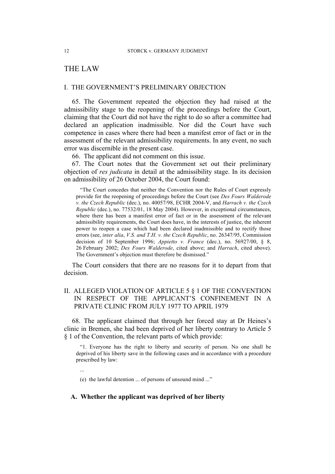# THE LAW

...

## I. THE GOVERNMENT'S PRELIMINARY OBJECTION

65. The Government repeated the objection they had raised at the admissibility stage to the reopening of the proceedings before the Court, claiming that the Court did not have the right to do so after a committee had declared an application inadmissible. Nor did the Court have such competence in cases where there had been a manifest error of fact or in the assessment of the relevant admissibility requirements. In any event, no such error was discernible in the present case.

66. The applicant did not comment on this issue.

67. The Court notes that the Government set out their preliminary objection of *res judicata* in detail at the admissibility stage. In its decision on admissibility of 26 October 2004, the Court found:

"The Court concedes that neither the Convention nor the Rules of Court expressly provide for the reopening of proceedings before the Court (see *Des Fours Walderode v. the Czech Republic* (dec.), no. 40057/98, ECHR 2004-V, and *Harrach v. the Czech Republic* (dec.), no. 77532/01, 18 May 2004). However, in exceptional circumstances, where there has been a manifest error of fact or in the assessment of the relevant admissibility requirements, the Court does have, in the interests of justice, the inherent power to reopen a case which had been declared inadmissible and to rectify those errors (see, *inter alia*, *V.S. and T.H. v. the Czech Republic*, no. 26347/95, Commission decision of 10 September 1996; *Appietto v. France* (dec.), no. 56927/00, § 8, 26 February 2002; *Des Fours Walderode*, cited above; and *Harrach*, cited above). The Government's objection must therefore be dismissed."

The Court considers that there are no reasons for it to depart from that decision.

# II. ALLEGED VIOLATION OF ARTICLE 5 § 1 OF THE CONVENTION IN RESPECT OF THE APPLICANT'S CONFINEMENT IN A PRIVATE CLINIC FROM JULY 1977 TO APRIL 1979

68. The applicant claimed that through her forced stay at Dr Heines's clinic in Bremen, she had been deprived of her liberty contrary to Article 5 § 1 of the Convention, the relevant parts of which provide:

"1. Everyone has the right to liberty and security of person. No one shall be deprived of his liberty save in the following cases and in accordance with a procedure prescribed by law:

(e) the lawful detention ... of persons of unsound mind ..."

### **A. Whether the applicant was deprived of her liberty**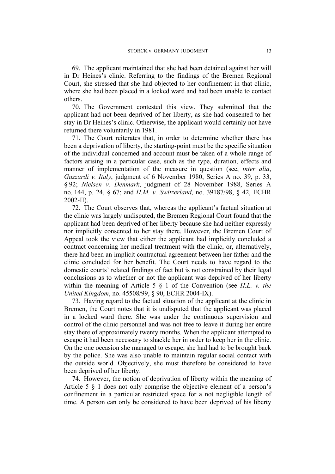69. The applicant maintained that she had been detained against her will in Dr Heines's clinic. Referring to the findings of the Bremen Regional Court, she stressed that she had objected to her confinement in that clinic, where she had been placed in a locked ward and had been unable to contact others.

70. The Government contested this view. They submitted that the applicant had not been deprived of her liberty, as she had consented to her stay in Dr Heines's clinic. Otherwise, the applicant would certainly not have returned there voluntarily in 1981.

71. The Court reiterates that, in order to determine whether there has been a deprivation of liberty, the starting-point must be the specific situation of the individual concerned and account must be taken of a whole range of factors arising in a particular case, such as the type, duration, effects and manner of implementation of the measure in question (see, *inter alia*, *Guzzardi v. Italy*, judgment of 6 November 1980, Series A no. 39, p. 33, § 92; *Nielsen v. Denmark*, judgment of 28 November 1988, Series A no. 144, p. 24, § 67; and *H.M. v. Switzerland*, no. 39187/98, § 42, ECHR 2002-II).

72. The Court observes that, whereas the applicant's factual situation at the clinic was largely undisputed, the Bremen Regional Court found that the applicant had been deprived of her liberty because she had neither expressly nor implicitly consented to her stay there. However, the Bremen Court of Appeal took the view that either the applicant had implicitly concluded a contract concerning her medical treatment with the clinic, or, alternatively, there had been an implicit contractual agreement between her father and the clinic concluded for her benefit. The Court needs to have regard to the domestic courts' related findings of fact but is not constrained by their legal conclusions as to whether or not the applicant was deprived of her liberty within the meaning of Article 5 § 1 of the Convention (see *H.L. v. the United Kingdom*, no. 45508/99, § 90, ECHR 2004-IX).

73. Having regard to the factual situation of the applicant at the clinic in Bremen, the Court notes that it is undisputed that the applicant was placed in a locked ward there. She was under the continuous supervision and control of the clinic personnel and was not free to leave it during her entire stay there of approximately twenty months. When the applicant attempted to escape it had been necessary to shackle her in order to keep her in the clinic. On the one occasion she managed to escape, she had had to be brought back by the police. She was also unable to maintain regular social contact with the outside world. Objectively, she must therefore be considered to have been deprived of her liberty.

74. However, the notion of deprivation of liberty within the meaning of Article 5 § 1 does not only comprise the objective element of a person's confinement in a particular restricted space for a not negligible length of time. A person can only be considered to have been deprived of his liberty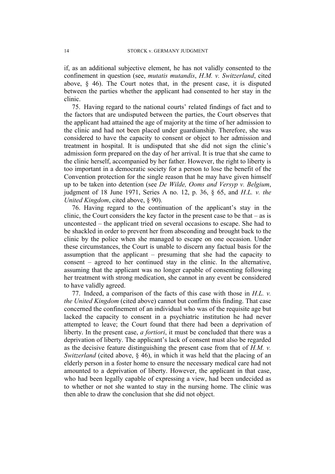if, as an additional subjective element, he has not validly consented to the confinement in question (see, *mutatis mutandis*, *H.M. v. Switzerland*, cited above, § 46). The Court notes that, in the present case, it is disputed between the parties whether the applicant had consented to her stay in the clinic.

75. Having regard to the national courts' related findings of fact and to the factors that are undisputed between the parties, the Court observes that the applicant had attained the age of majority at the time of her admission to the clinic and had not been placed under guardianship. Therefore, she was considered to have the capacity to consent or object to her admission and treatment in hospital. It is undisputed that she did not sign the clinic's admission form prepared on the day of her arrival. It is true that she came to the clinic herself, accompanied by her father. However, the right to liberty is too important in a democratic society for a person to lose the benefit of the Convention protection for the single reason that he may have given himself up to be taken into detention (see *De Wilde, Ooms and Versyp v. Belgium*, judgment of 18 June 1971, Series A no. 12, p. 36, § 65, and *H.L. v. the United Kingdom*, cited above, § 90).

76. Having regard to the continuation of the applicant's stay in the clinic, the Court considers the key factor in the present case to be that  $-$  as is uncontested – the applicant tried on several occasions to escape. She had to be shackled in order to prevent her from absconding and brought back to the clinic by the police when she managed to escape on one occasion. Under these circumstances, the Court is unable to discern any factual basis for the assumption that the applicant – presuming that she had the capacity to consent – agreed to her continued stay in the clinic. In the alternative, assuming that the applicant was no longer capable of consenting following her treatment with strong medication, she cannot in any event be considered to have validly agreed.

77. Indeed, a comparison of the facts of this case with those in *H.L. v. the United Kingdom* (cited above) cannot but confirm this finding. That case concerned the confinement of an individual who was of the requisite age but lacked the capacity to consent in a psychiatric institution he had never attempted to leave; the Court found that there had been a deprivation of liberty. In the present case, *a fortiori*, it must be concluded that there was a deprivation of liberty. The applicant's lack of consent must also be regarded as the decisive feature distinguishing the present case from that of *H.M. v. Switzerland* (cited above, § 46), in which it was held that the placing of an elderly person in a foster home to ensure the necessary medical care had not amounted to a deprivation of liberty. However, the applicant in that case, who had been legally capable of expressing a view, had been undecided as to whether or not she wanted to stay in the nursing home. The clinic was then able to draw the conclusion that she did not object.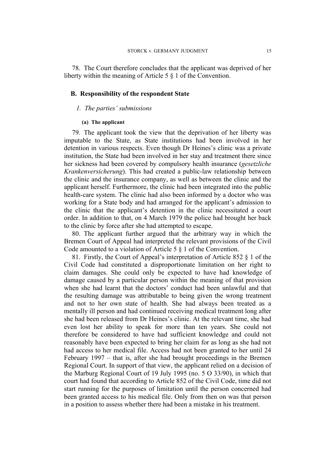78. The Court therefore concludes that the applicant was deprived of her liberty within the meaning of Article 5 § 1 of the Convention.

### **B. Responsibility of the respondent State**

#### *1. The parties' submissions*

#### **(a) The applicant**

79. The applicant took the view that the deprivation of her liberty was imputable to the State, as State institutions had been involved in her detention in various respects. Even though Dr Heines's clinic was a private institution, the State had been involved in her stay and treatment there since her sickness had been covered by compulsory health insurance (*gesetzliche Krankenversicherung*). This had created a public-law relationship between the clinic and the insurance company, as well as between the clinic and the applicant herself. Furthermore, the clinic had been integrated into the public health-care system. The clinic had also been informed by a doctor who was working for a State body and had arranged for the applicant's admission to the clinic that the applicant's detention in the clinic necessitated a court order. In addition to that, on 4 March 1979 the police had brought her back to the clinic by force after she had attempted to escape.

80. The applicant further argued that the arbitrary way in which the Bremen Court of Appeal had interpreted the relevant provisions of the Civil Code amounted to a violation of Article 5 § 1 of the Convention.

81. Firstly, the Court of Appeal's interpretation of Article 852 § 1 of the Civil Code had constituted a disproportionate limitation on her right to claim damages. She could only be expected to have had knowledge of damage caused by a particular person within the meaning of that provision when she had learnt that the doctors' conduct had been unlawful and that the resulting damage was attributable to being given the wrong treatment and not to her own state of health. She had always been treated as a mentally ill person and had continued receiving medical treatment long after she had been released from Dr Heines's clinic. At the relevant time, she had even lost her ability to speak for more than ten years. She could not therefore be considered to have had sufficient knowledge and could not reasonably have been expected to bring her claim for as long as she had not had access to her medical file. Access had not been granted to her until 24 February 1997 – that is, after she had brought proceedings in the Bremen Regional Court. In support of that view, the applicant relied on a decision of the Marburg Regional Court of 19 July 1995 (no. 5 O 33/90), in which that court had found that according to Article 852 of the Civil Code, time did not start running for the purposes of limitation until the person concerned had been granted access to his medical file. Only from then on was that person in a position to assess whether there had been a mistake in his treatment.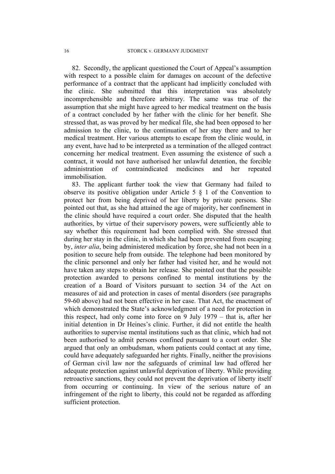82. Secondly, the applicant questioned the Court of Appeal's assumption with respect to a possible claim for damages on account of the defective performance of a contract that the applicant had implicitly concluded with the clinic. She submitted that this interpretation was absolutely incomprehensible and therefore arbitrary. The same was true of the assumption that she might have agreed to her medical treatment on the basis of a contract concluded by her father with the clinic for her benefit. She stressed that, as was proved by her medical file, she had been opposed to her admission to the clinic, to the continuation of her stay there and to her medical treatment. Her various attempts to escape from the clinic would, in any event, have had to be interpreted as a termination of the alleged contract concerning her medical treatment. Even assuming the existence of such a contract, it would not have authorised her unlawful detention, the forcible administration of contraindicated medicines and her repeated immobilisation.

83. The applicant further took the view that Germany had failed to observe its positive obligation under Article 5 § 1 of the Convention to protect her from being deprived of her liberty by private persons. She pointed out that, as she had attained the age of majority, her confinement in the clinic should have required a court order. She disputed that the health authorities, by virtue of their supervisory powers, were sufficiently able to say whether this requirement had been complied with. She stressed that during her stay in the clinic, in which she had been prevented from escaping by, *inter alia*, being administered medication by force, she had not been in a position to secure help from outside. The telephone had been monitored by the clinic personnel and only her father had visited her, and he would not have taken any steps to obtain her release. She pointed out that the possible protection awarded to persons confined to mental institutions by the creation of a Board of Visitors pursuant to section 34 of the Act on measures of aid and protection in cases of mental disorders (see paragraphs 59-60 above) had not been effective in her case. That Act, the enactment of which demonstrated the State's acknowledgment of a need for protection in this respect, had only come into force on 9 July 1979 – that is, after her initial detention in Dr Heines's clinic. Further, it did not entitle the health authorities to supervise mental institutions such as that clinic, which had not been authorised to admit persons confined pursuant to a court order. She argued that only an ombudsman, whom patients could contact at any time, could have adequately safeguarded her rights. Finally, neither the provisions of German civil law nor the safeguards of criminal law had offered her adequate protection against unlawful deprivation of liberty. While providing retroactive sanctions, they could not prevent the deprivation of liberty itself from occurring or continuing. In view of the serious nature of an infringement of the right to liberty, this could not be regarded as affording sufficient protection.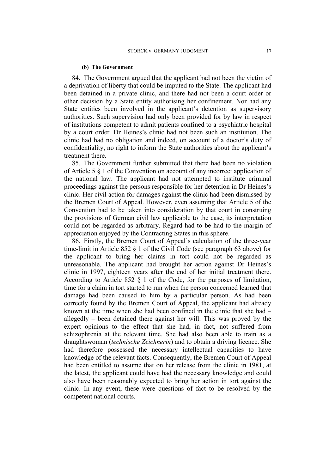#### **(b) The Government**

84. The Government argued that the applicant had not been the victim of a deprivation of liberty that could be imputed to the State. The applicant had been detained in a private clinic, and there had not been a court order or other decision by a State entity authorising her confinement. Nor had any State entities been involved in the applicant's detention as supervisory authorities. Such supervision had only been provided for by law in respect of institutions competent to admit patients confined to a psychiatric hospital by a court order. Dr Heines's clinic had not been such an institution. The clinic had had no obligation and indeed, on account of a doctor's duty of confidentiality, no right to inform the State authorities about the applicant's treatment there.

85. The Government further submitted that there had been no violation of Article 5 § 1 of the Convention on account of any incorrect application of the national law. The applicant had not attempted to institute criminal proceedings against the persons responsible for her detention in Dr Heines's clinic. Her civil action for damages against the clinic had been dismissed by the Bremen Court of Appeal. However, even assuming that Article 5 of the Convention had to be taken into consideration by that court in construing the provisions of German civil law applicable to the case, its interpretation could not be regarded as arbitrary. Regard had to be had to the margin of appreciation enjoyed by the Contracting States in this sphere.

86. Firstly, the Bremen Court of Appeal's calculation of the three-year time-limit in Article 852 § 1 of the Civil Code (see paragraph 63 above) for the applicant to bring her claims in tort could not be regarded as unreasonable. The applicant had brought her action against Dr Heines's clinic in 1997, eighteen years after the end of her initial treatment there. According to Article 852 § 1 of the Code, for the purposes of limitation, time for a claim in tort started to run when the person concerned learned that damage had been caused to him by a particular person. As had been correctly found by the Bremen Court of Appeal, the applicant had already known at the time when she had been confined in the clinic that she had – allegedly – been detained there against her will. This was proved by the expert opinions to the effect that she had, in fact, not suffered from schizophrenia at the relevant time. She had also been able to train as a draughtswoman (*technische Zeichnerin*) and to obtain a driving licence. She had therefore possessed the necessary intellectual capacities to have knowledge of the relevant facts. Consequently, the Bremen Court of Appeal had been entitled to assume that on her release from the clinic in 1981, at the latest, the applicant could have had the necessary knowledge and could also have been reasonably expected to bring her action in tort against the clinic. In any event, these were questions of fact to be resolved by the competent national courts.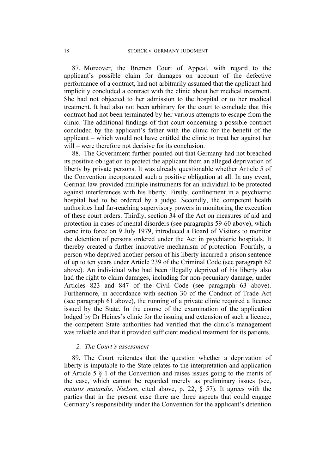87. Moreover, the Bremen Court of Appeal, with regard to the applicant's possible claim for damages on account of the defective performance of a contract, had not arbitrarily assumed that the applicant had implicitly concluded a contract with the clinic about her medical treatment. She had not objected to her admission to the hospital or to her medical treatment. It had also not been arbitrary for the court to conclude that this contract had not been terminated by her various attempts to escape from the clinic. The additional findings of that court concerning a possible contract concluded by the applicant's father with the clinic for the benefit of the applicant – which would not have entitled the clinic to treat her against her will – were therefore not decisive for its conclusion.

88. The Government further pointed out that Germany had not breached its positive obligation to protect the applicant from an alleged deprivation of liberty by private persons. It was already questionable whether Article 5 of the Convention incorporated such a positive obligation at all. In any event, German law provided multiple instruments for an individual to be protected against interferences with his liberty. Firstly, confinement in a psychiatric hospital had to be ordered by a judge. Secondly, the competent health authorities had far-reaching supervisory powers in monitoring the execution of these court orders. Thirdly, section 34 of the Act on measures of aid and protection in cases of mental disorders (see paragraphs 59-60 above), which came into force on 9 July 1979, introduced a Board of Visitors to monitor the detention of persons ordered under the Act in psychiatric hospitals. It thereby created a further innovative mechanism of protection. Fourthly, a person who deprived another person of his liberty incurred a prison sentence of up to ten years under Article 239 of the Criminal Code (see paragraph 62 above). An individual who had been illegally deprived of his liberty also had the right to claim damages, including for non-pecuniary damage, under Articles 823 and 847 of the Civil Code (see paragraph 63 above). Furthermore, in accordance with section 30 of the Conduct of Trade Act (see paragraph 61 above), the running of a private clinic required a licence issued by the State. In the course of the examination of the application lodged by Dr Heines's clinic for the issuing and extension of such a licence, the competent State authorities had verified that the clinic's management was reliable and that it provided sufficient medical treatment for its patients.

### *2. The Court's assessment*

89. The Court reiterates that the question whether a deprivation of liberty is imputable to the State relates to the interpretation and application of Article 5 § 1 of the Convention and raises issues going to the merits of the case, which cannot be regarded merely as preliminary issues (see, *mutatis mutandis*, *Nielsen*, cited above, p. 22, § 57). It agrees with the parties that in the present case there are three aspects that could engage Germany's responsibility under the Convention for the applicant's detention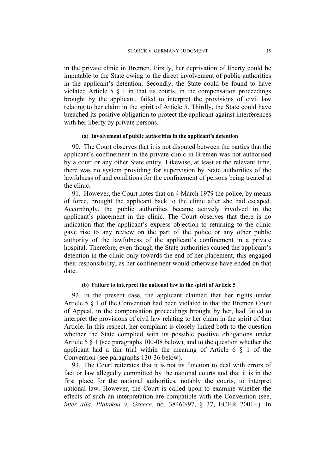in the private clinic in Bremen. Firstly, her deprivation of liberty could be imputable to the State owing to the direct involvement of public authorities in the applicant's detention. Secondly, the State could be found to have violated Article 5  $\S$  1 in that its courts, in the compensation proceedings brought by the applicant, failed to interpret the provisions of civil law relating to her claim in the spirit of Article 5. Thirdly, the State could have breached its positive obligation to protect the applicant against interferences with her liberty by private persons.

### **(a) Involvement of public authorities in the applicant's detention**

90. The Court observes that it is not disputed between the parties that the applicant's confinement in the private clinic in Bremen was not authorised by a court or any other State entity. Likewise, at least at the relevant time, there was no system providing for supervision by State authorities of the lawfulness of and conditions for the confinement of persons being treated at the clinic.

91. However, the Court notes that on 4 March 1979 the police, by means of force, brought the applicant back to the clinic after she had escaped. Accordingly, the public authorities became actively involved in the applicant's placement in the clinic. The Court observes that there is no indication that the applicant's express objection to returning to the clinic gave rise to any review on the part of the police or any other public authority of the lawfulness of the applicant's confinement in a private hospital. Therefore, even though the State authorities caused the applicant's detention in the clinic only towards the end of her placement, this engaged their responsibility, as her confinement would otherwise have ended on that date.

#### **(b) Failure to interpret the national law in the spirit of Article 5**

92. In the present case, the applicant claimed that her rights under Article 5 § 1 of the Convention had been violated in that the Bremen Court of Appeal, in the compensation proceedings brought by her, had failed to interpret the provisions of civil law relating to her claim in the spirit of that Article. In this respect, her complaint is closely linked both to the question whether the State complied with its possible positive obligations under Article 5 § 1 (see paragraphs 100-08 below), and to the question whether the applicant had a fair trial within the meaning of Article 6 § 1 of the Convention (see paragraphs 130-36 below).

93. The Court reiterates that it is not its function to deal with errors of fact or law allegedly committed by the national courts and that it is in the first place for the national authorities, notably the courts, to interpret national law. However, the Court is called upon to examine whether the effects of such an interpretation are compatible with the Convention (see, *inter alia*, *Platakou v. Greece*, no. 38460/97, § 37, ECHR 2001-I). In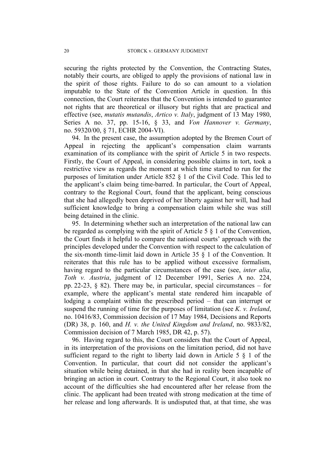securing the rights protected by the Convention, the Contracting States, notably their courts, are obliged to apply the provisions of national law in the spirit of those rights. Failure to do so can amount to a violation imputable to the State of the Convention Article in question. In this connection, the Court reiterates that the Convention is intended to guarantee not rights that are theoretical or illusory but rights that are practical and effective (see, *mutatis mutandis*, *Artico v. Italy*, judgment of 13 May 1980, Series A no. 37, pp. 15-16, § 33, and *Von Hannover v. Germany*, no. 59320/00, § 71, ECHR 2004-VI).

94. In the present case, the assumption adopted by the Bremen Court of Appeal in rejecting the applicant's compensation claim warrants examination of its compliance with the spirit of Article 5 in two respects. Firstly, the Court of Appeal, in considering possible claims in tort, took a restrictive view as regards the moment at which time started to run for the purposes of limitation under Article 852 § 1 of the Civil Code. This led to the applicant's claim being time-barred. In particular, the Court of Appeal, contrary to the Regional Court, found that the applicant, being conscious that she had allegedly been deprived of her liberty against her will, had had sufficient knowledge to bring a compensation claim while she was still being detained in the clinic.

95. In determining whether such an interpretation of the national law can be regarded as complying with the spirit of Article 5 § 1 of the Convention, the Court finds it helpful to compare the national courts' approach with the principles developed under the Convention with respect to the calculation of the six-month time-limit laid down in Article 35 § 1 of the Convention. It reiterates that this rule has to be applied without excessive formalism, having regard to the particular circumstances of the case (see, *inter alia*, *Toth v. Austria*, judgment of 12 December 1991, Series A no. 224, pp. 22-23, § 82). There may be, in particular, special circumstances – for example, where the applicant's mental state rendered him incapable of lodging a complaint within the prescribed period – that can interrupt or suspend the running of time for the purposes of limitation (see *K. v. Ireland*, no. 10416/83, Commission decision of 17 May 1984, Decisions and Reports (DR) 38, p. 160, and *H. v. the United Kingdom and Ireland*, no. 9833/82, Commission decision of 7 March 1985, DR 42, p. 57).

96. Having regard to this, the Court considers that the Court of Appeal, in its interpretation of the provisions on the limitation period, did not have sufficient regard to the right to liberty laid down in Article  $5 \S 1$  of the Convention. In particular, that court did not consider the applicant's situation while being detained, in that she had in reality been incapable of bringing an action in court. Contrary to the Regional Court, it also took no account of the difficulties she had encountered after her release from the clinic. The applicant had been treated with strong medication at the time of her release and long afterwards. It is undisputed that, at that time, she was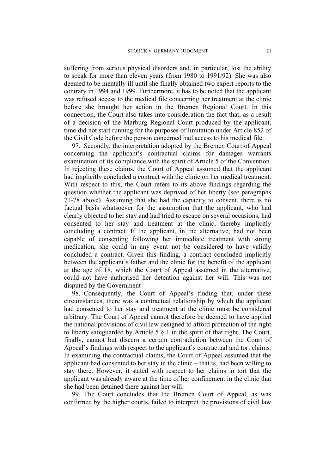suffering from serious physical disorders and, in particular, lost the ability to speak for more than eleven years (from 1980 to 1991/92). She was also deemed to be mentally ill until she finally obtained two expert reports to the contrary in 1994 and 1999. Furthermore, it has to be noted that the applicant was refused access to the medical file concerning her treatment at the clinic before she brought her action in the Bremen Regional Court. In this connection, the Court also takes into consideration the fact that, as a result of a decision of the Marburg Regional Court produced by the applicant, time did not start running for the purposes of limitation under Article 852 of the Civil Code before the person concerned had access to his medical file.

97. Secondly, the interpretation adopted by the Bremen Court of Appeal concerning the applicant's contractual claims for damages warrants examination of its compliance with the spirit of Article 5 of the Convention. In rejecting these claims, the Court of Appeal assumed that the applicant had implicitly concluded a contract with the clinic on her medical treatment. With respect to this, the Court refers to its above findings regarding the question whether the applicant was deprived of her liberty (see paragraphs 71-78 above). Assuming that she had the capacity to consent, there is no factual basis whatsoever for the assumption that the applicant, who had clearly objected to her stay and had tried to escape on several occasions, had consented to her stay and treatment at the clinic, thereby implicitly concluding a contract. If the applicant, in the alternative, had not been capable of consenting following her immediate treatment with strong medication, she could in any event not be considered to have validly concluded a contract. Given this finding, a contract concluded implicitly between the applicant's father and the clinic for the benefit of the applicant at the age of 18, which the Court of Appeal assumed in the alternative, could not have authorised her detention against her will. This was not disputed by the Government

98. Consequently, the Court of Appeal's finding that, under these circumstances, there was a contractual relationship by which the applicant had consented to her stay and treatment at the clinic must be considered arbitrary. The Court of Appeal cannot therefore be deemed to have applied the national provisions of civil law designed to afford protection of the right to liberty safeguarded by Article 5 § 1 in the spirit of that right. The Court, finally, cannot but discern a certain contradiction between the Court of Appeal's findings with respect to the applicant's contractual and tort claims. In examining the contractual claims, the Court of Appeal assumed that the applicant had consented to her stay in the clinic – that is, had been willing to stay there. However, it stated with respect to her claims in tort that the applicant was already aware at the time of her confinement in the clinic that she had been detained there against her will.

99. The Court concludes that the Bremen Court of Appeal, as was confirmed by the higher courts, failed to interpret the provisions of civil law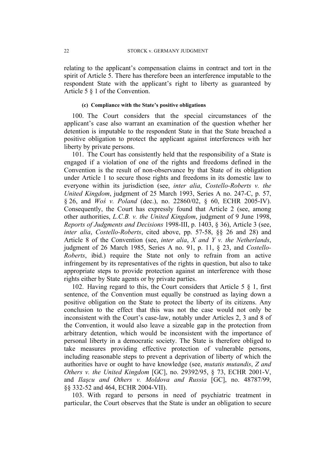relating to the applicant's compensation claims in contract and tort in the spirit of Article 5. There has therefore been an interference imputable to the respondent State with the applicant's right to liberty as guaranteed by Article 5 § 1 of the Convention.

### **(c) Compliance with the State's positive obligations**

100. The Court considers that the special circumstances of the applicant's case also warrant an examination of the question whether her detention is imputable to the respondent State in that the State breached a positive obligation to protect the applicant against interferences with her liberty by private persons.

101. The Court has consistently held that the responsibility of a State is engaged if a violation of one of the rights and freedoms defined in the Convention is the result of non-observance by that State of its obligation under Article 1 to secure those rights and freedoms in its domestic law to everyone within its jurisdiction (see, *inter alia*, *Costello-Roberts v. the United Kingdom*, judgment of 25 March 1993, Series A no. 247-C, p. 57, § 26, and *Woś v. Poland* (dec.), no. 22860/02, § 60, ECHR 2005-IV). Consequently, the Court has expressly found that Article 2 (see, among other authorities, *L.C.B. v. the United Kingdom*, judgment of 9 June 1998, *Reports of Judgments and Decisions* 1998-III, p. 1403, § 36), Article 3 (see, *inter alia*, *Costello-Roberts*, cited above, pp. 57-58, §§ 26 and 28) and Article 8 of the Convention (see, *inter alia*, *X and Y v. the Netherlands*, judgment of 26 March 1985, Series A no. 91, p. 11, § 23, and *Costello-Roberts*, ibid.) require the State not only to refrain from an active infringement by its representatives of the rights in question, but also to take appropriate steps to provide protection against an interference with those rights either by State agents or by private parties.

102. Having regard to this, the Court considers that Article 5 § 1, first sentence, of the Convention must equally be construed as laying down a positive obligation on the State to protect the liberty of its citizens. Any conclusion to the effect that this was not the case would not only be inconsistent with the Court's case-law, notably under Articles 2, 3 and 8 of the Convention, it would also leave a sizeable gap in the protection from arbitrary detention, which would be inconsistent with the importance of personal liberty in a democratic society. The State is therefore obliged to take measures providing effective protection of vulnerable persons, including reasonable steps to prevent a deprivation of liberty of which the authorities have or ought to have knowledge (see, *mutatis mutandis*, *Z and Others v. the United Kingdom* [GC], no. 29392/95, § 73, ECHR 2001-V, and *Ilaşcu and Others v. Moldova and Russia* [GC], no. 48787/99, §§ 332-52 and 464, ECHR 2004-VII).

103. With regard to persons in need of psychiatric treatment in particular, the Court observes that the State is under an obligation to secure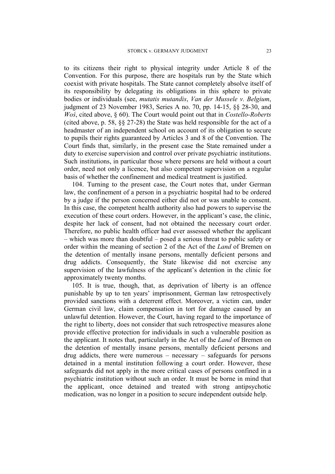to its citizens their right to physical integrity under Article 8 of the Convention. For this purpose, there are hospitals run by the State which coexist with private hospitals. The State cannot completely absolve itself of its responsibility by delegating its obligations in this sphere to private bodies or individuals (see, *mutatis mutandis*, *Van der Mussele v. Belgium*, judgment of 23 November 1983, Series A no. 70, pp. 14-15, §§ 28-30, and *Woś*, cited above, § 60). The Court would point out that in *Costello-Roberts* (cited above, p. 58, §§ 27-28) the State was held responsible for the act of a headmaster of an independent school on account of its obligation to secure to pupils their rights guaranteed by Articles 3 and 8 of the Convention. The Court finds that, similarly, in the present case the State remained under a duty to exercise supervision and control over private psychiatric institutions. Such institutions, in particular those where persons are held without a court order, need not only a licence, but also competent supervision on a regular basis of whether the confinement and medical treatment is justified.

104. Turning to the present case, the Court notes that, under German law, the confinement of a person in a psychiatric hospital had to be ordered by a judge if the person concerned either did not or was unable to consent. In this case, the competent health authority also had powers to supervise the execution of these court orders. However, in the applicant's case, the clinic, despite her lack of consent, had not obtained the necessary court order. Therefore, no public health officer had ever assessed whether the applicant – which was more than doubtful – posed a serious threat to public safety or order within the meaning of section 2 of the Act of the *Land* of Bremen on the detention of mentally insane persons, mentally deficient persons and drug addicts. Consequently, the State likewise did not exercise any supervision of the lawfulness of the applicant's detention in the clinic for approximately twenty months.

105. It is true, though, that, as deprivation of liberty is an offence punishable by up to ten years' imprisonment, German law retrospectively provided sanctions with a deterrent effect. Moreover, a victim can, under German civil law, claim compensation in tort for damage caused by an unlawful detention. However, the Court, having regard to the importance of the right to liberty, does not consider that such retrospective measures alone provide effective protection for individuals in such a vulnerable position as the applicant. It notes that, particularly in the Act of the *Land* of Bremen on the detention of mentally insane persons, mentally deficient persons and drug addicts, there were numerous – necessary – safeguards for persons detained in a mental institution following a court order. However, these safeguards did not apply in the more critical cases of persons confined in a psychiatric institution without such an order. It must be borne in mind that the applicant, once detained and treated with strong antipsychotic medication, was no longer in a position to secure independent outside help.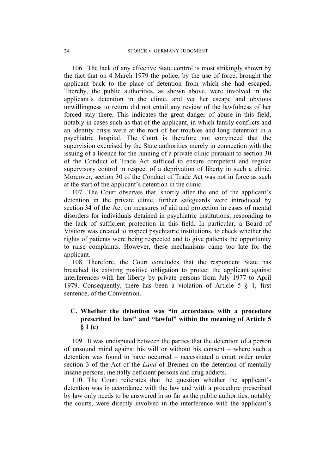106. The lack of any effective State control is most strikingly shown by the fact that on 4 March 1979 the police, by the use of force, brought the applicant back to the place of detention from which she had escaped. Thereby, the public authorities, as shown above, were involved in the applicant's detention in the clinic, and yet her escape and obvious unwillingness to return did not entail any review of the lawfulness of her forced stay there. This indicates the great danger of abuse in this field, notably in cases such as that of the applicant, in which family conflicts and an identity crisis were at the root of her troubles and long detention in a psychiatric hospital. The Court is therefore not convinced that the supervision exercised by the State authorities merely in connection with the issuing of a licence for the running of a private clinic pursuant to section 30 of the Conduct of Trade Act sufficed to ensure competent and regular supervisory control in respect of a deprivation of liberty in such a clinic. Moreover, section 30 of the Conduct of Trade Act was not in force as such at the start of the applicant's detention in the clinic.

107. The Court observes that, shortly after the end of the applicant's detention in the private clinic, further safeguards were introduced by section 34 of the Act on measures of aid and protection in cases of mental disorders for individuals detained in psychiatric institutions, responding to the lack of sufficient protection in this field. In particular, a Board of Visitors was created to inspect psychiatric institutions, to check whether the rights of patients were being respected and to give patients the opportunity to raise complaints. However, these mechanisms came too late for the applicant.

108. Therefore, the Court concludes that the respondent State has breached its existing positive obligation to protect the applicant against interferences with her liberty by private persons from July 1977 to April 1979. Consequently, there has been a violation of Article 5 § 1, first sentence, of the Convention.

# **C. Whether the detention was "in accordance with a procedure prescribed by law" and "lawful" within the meaning of Article 5 § 1 (e)**

109. It was undisputed between the parties that the detention of a person of unsound mind against his will or without his consent – where such a detention was found to have occurred – necessitated a court order under section 3 of the Act of the *Land* of Bremen on the detention of mentally insane persons, mentally deficient persons and drug addicts.

110. The Court reiterates that the question whether the applicant's detention was in accordance with the law and with a procedure prescribed by law only needs to be answered in so far as the public authorities, notably the courts, were directly involved in the interference with the applicant's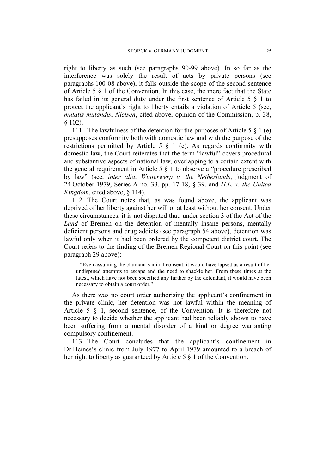right to liberty as such (see paragraphs 90-99 above). In so far as the interference was solely the result of acts by private persons (see paragraphs 100-08 above), it falls outside the scope of the second sentence of Article 5 § 1 of the Convention. In this case, the mere fact that the State has failed in its general duty under the first sentence of Article 5 § 1 to protect the applicant's right to liberty entails a violation of Article 5 (see, *mutatis mutandis*, *Nielsen*, cited above, opinion of the Commission, p. 38, § 102).

111. The lawfulness of the detention for the purposes of Article 5  $\S$  1 (e) presupposes conformity both with domestic law and with the purpose of the restrictions permitted by Article 5 § 1 (e). As regards conformity with domestic law, the Court reiterates that the term "lawful" covers procedural and substantive aspects of national law, overlapping to a certain extent with the general requirement in Article 5 § 1 to observe a "procedure prescribed by law" (see, *inter alia*, *Winterwerp v. the Netherlands*, judgment of 24 October 1979, Series A no. 33, pp. 17-18, § 39, and *H.L. v. the United Kingdom*, cited above, § 114).

112. The Court notes that, as was found above, the applicant was deprived of her liberty against her will or at least without her consent. Under these circumstances, it is not disputed that, under section 3 of the Act of the *Land* of Bremen on the detention of mentally insane persons, mentally deficient persons and drug addicts (see paragraph 54 above), detention was lawful only when it had been ordered by the competent district court. The Court refers to the finding of the Bremen Regional Court on this point (see paragraph 29 above):

"Even assuming the claimant's initial consent, it would have lapsed as a result of her undisputed attempts to escape and the need to shackle her. From these times at the latest, which have not been specified any further by the defendant, it would have been necessary to obtain a court order."

As there was no court order authorising the applicant's confinement in the private clinic, her detention was not lawful within the meaning of Article 5 § 1, second sentence, of the Convention. It is therefore not necessary to decide whether the applicant had been reliably shown to have been suffering from a mental disorder of a kind or degree warranting compulsory confinement.

113. The Court concludes that the applicant's confinement in Dr Heines's clinic from July 1977 to April 1979 amounted to a breach of her right to liberty as guaranteed by Article 5 § 1 of the Convention.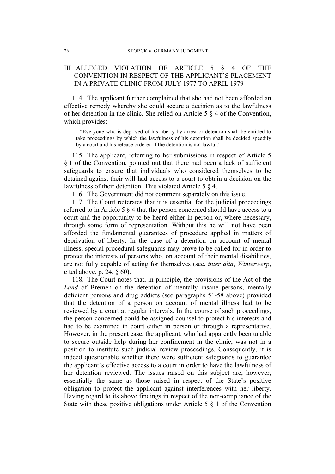# III. ALLEGED VIOLATION OF ARTICLE 5 § 4 OF THE CONVENTION IN RESPECT OF THE APPLICANT'S PLACEMENT IN A PRIVATE CLINIC FROM JULY 1977 TO APRIL 1979

114. The applicant further complained that she had not been afforded an effective remedy whereby she could secure a decision as to the lawfulness of her detention in the clinic. She relied on Article 5 § 4 of the Convention, which provides:

"Everyone who is deprived of his liberty by arrest or detention shall be entitled to take proceedings by which the lawfulness of his detention shall be decided speedily by a court and his release ordered if the detention is not lawful."

115. The applicant, referring to her submissions in respect of Article 5 § 1 of the Convention, pointed out that there had been a lack of sufficient safeguards to ensure that individuals who considered themselves to be detained against their will had access to a court to obtain a decision on the lawfulness of their detention. This violated Article 5 § 4.

116. The Government did not comment separately on this issue.

117. The Court reiterates that it is essential for the judicial proceedings referred to in Article 5 § 4 that the person concerned should have access to a court and the opportunity to be heard either in person or, where necessary, through some form of representation. Without this he will not have been afforded the fundamental guarantees of procedure applied in matters of deprivation of liberty. In the case of a detention on account of mental illness, special procedural safeguards may prove to be called for in order to protect the interests of persons who, on account of their mental disabilities, are not fully capable of acting for themselves (see, *inter alia*, *Winterwerp*, cited above, p. 24, § 60).

118. The Court notes that, in principle, the provisions of the Act of the *Land* of Bremen on the detention of mentally insane persons, mentally deficient persons and drug addicts (see paragraphs 51-58 above) provided that the detention of a person on account of mental illness had to be reviewed by a court at regular intervals. In the course of such proceedings, the person concerned could be assigned counsel to protect his interests and had to be examined in court either in person or through a representative. However, in the present case, the applicant, who had apparently been unable to secure outside help during her confinement in the clinic, was not in a position to institute such judicial review proceedings. Consequently, it is indeed questionable whether there were sufficient safeguards to guarantee the applicant's effective access to a court in order to have the lawfulness of her detention reviewed. The issues raised on this subject are, however, essentially the same as those raised in respect of the State's positive obligation to protect the applicant against interferences with her liberty. Having regard to its above findings in respect of the non-compliance of the State with these positive obligations under Article 5 § 1 of the Convention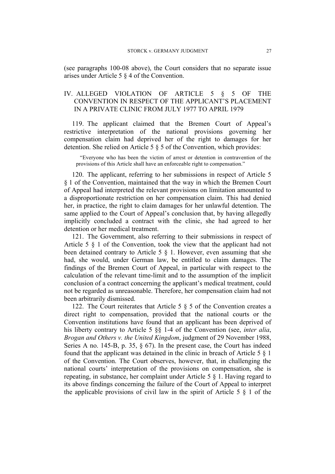(see paragraphs 100-08 above), the Court considers that no separate issue arises under Article 5 § 4 of the Convention.

# IV. ALLEGED VIOLATION OF ARTICLE 5 § 5 OF THE CONVENTION IN RESPECT OF THE APPLICANT'S PLACEMENT IN A PRIVATE CLINIC FROM JULY 1977 TO APRIL 1979

119. The applicant claimed that the Bremen Court of Appeal's restrictive interpretation of the national provisions governing her compensation claim had deprived her of the right to damages for her detention. She relied on Article 5 § 5 of the Convention, which provides:

"Everyone who has been the victim of arrest or detention in contravention of the provisions of this Article shall have an enforceable right to compensation."

120. The applicant, referring to her submissions in respect of Article 5 § 1 of the Convention, maintained that the way in which the Bremen Court of Appeal had interpreted the relevant provisions on limitation amounted to a disproportionate restriction on her compensation claim. This had denied her, in practice, the right to claim damages for her unlawful detention. The same applied to the Court of Appeal's conclusion that, by having allegedly implicitly concluded a contract with the clinic, she had agreed to her detention or her medical treatment.

121. The Government, also referring to their submissions in respect of Article 5 § 1 of the Convention, took the view that the applicant had not been detained contrary to Article 5 § 1. However, even assuming that she had, she would, under German law, be entitled to claim damages. The findings of the Bremen Court of Appeal, in particular with respect to the calculation of the relevant time-limit and to the assumption of the implicit conclusion of a contract concerning the applicant's medical treatment, could not be regarded as unreasonable. Therefore, her compensation claim had not been arbitrarily dismissed.

122. The Court reiterates that Article 5  $\S$  5 of the Convention creates a direct right to compensation, provided that the national courts or the Convention institutions have found that an applicant has been deprived of his liberty contrary to Article 5 §§ 1-4 of the Convention (see, *inter alia*, *Brogan and Others v. the United Kingdom*, judgment of 29 November 1988, Series A no. 145-B, p. 35, § 67). In the present case, the Court has indeed found that the applicant was detained in the clinic in breach of Article 5 § 1 of the Convention. The Court observes, however, that, in challenging the national courts' interpretation of the provisions on compensation, she is repeating, in substance, her complaint under Article 5 § 1. Having regard to its above findings concerning the failure of the Court of Appeal to interpret the applicable provisions of civil law in the spirit of Article  $5 \& 1$  of the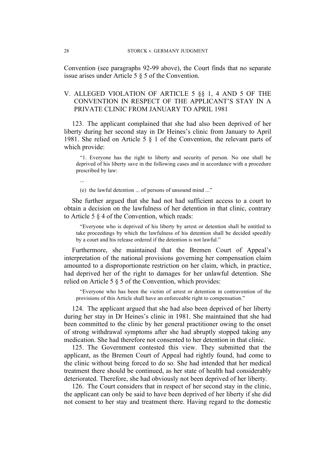Convention (see paragraphs 92-99 above), the Court finds that no separate issue arises under Article 5 § 5 of the Convention.

# V. ALLEGED VIOLATION OF ARTICLE 5 §§ 1, 4 AND 5 OF THE CONVENTION IN RESPECT OF THE APPLICANT'S STAY IN A PRIVATE CLINIC FROM JANUARY TO APRIL 1981

123. The applicant complained that she had also been deprived of her liberty during her second stay in Dr Heines's clinic from January to April 1981. She relied on Article 5 § 1 of the Convention, the relevant parts of which provide:

"1. Everyone has the right to liberty and security of person. No one shall be deprived of his liberty save in the following cases and in accordance with a procedure prescribed by law:

...

(e) the lawful detention ... of persons of unsound mind ..."

She further argued that she had not had sufficient access to a court to obtain a decision on the lawfulness of her detention in that clinic, contrary to Article 5 § 4 of the Convention, which reads:

"Everyone who is deprived of his liberty by arrest or detention shall be entitled to take proceedings by which the lawfulness of his detention shall be decided speedily by a court and his release ordered if the detention is not lawful."

Furthermore, she maintained that the Bremen Court of Appeal's interpretation of the national provisions governing her compensation claim amounted to a disproportionate restriction on her claim, which, in practice, had deprived her of the right to damages for her unlawful detention. She relied on Article 5 § 5 of the Convention, which provides:

"Everyone who has been the victim of arrest or detention in contravention of the provisions of this Article shall have an enforceable right to compensation."

124. The applicant argued that she had also been deprived of her liberty during her stay in Dr Heines's clinic in 1981. She maintained that she had been committed to the clinic by her general practitioner owing to the onset of strong withdrawal symptoms after she had abruptly stopped taking any medication. She had therefore not consented to her detention in that clinic.

125. The Government contested this view. They submitted that the applicant, as the Bremen Court of Appeal had rightly found, had come to the clinic without being forced to do so. She had intended that her medical treatment there should be continued, as her state of health had considerably deteriorated. Therefore, she had obviously not been deprived of her liberty.

126. The Court considers that in respect of her second stay in the clinic, the applicant can only be said to have been deprived of her liberty if she did not consent to her stay and treatment there. Having regard to the domestic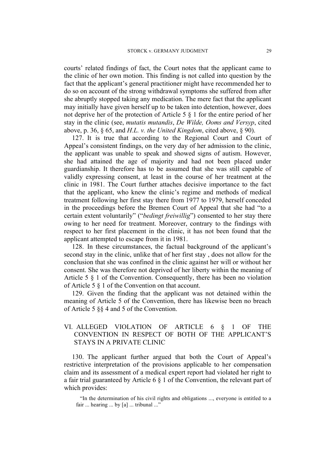courts' related findings of fact, the Court notes that the applicant came to the clinic of her own motion. This finding is not called into question by the fact that the applicant's general practitioner might have recommended her to do so on account of the strong withdrawal symptoms she suffered from after she abruptly stopped taking any medication. The mere fact that the applicant may initially have given herself up to be taken into detention, however, does not deprive her of the protection of Article 5 § 1 for the entire period of her stay in the clinic (see, *mutatis mutandis*, *De Wilde, Ooms and Versyp*, cited above, p. 36, § 65, and *H.L. v. the United Kingdom*, cited above, § 90).

127. It is true that according to the Regional Court and Court of Appeal's consistent findings, on the very day of her admission to the clinic, the applicant was unable to speak and showed signs of autism. However, she had attained the age of majority and had not been placed under guardianship. It therefore has to be assumed that she was still capable of validly expressing consent, at least in the course of her treatment at the clinic in 1981. The Court further attaches decisive importance to the fact that the applicant, who knew the clinic's regime and methods of medical treatment following her first stay there from 1977 to 1979, herself conceded in the proceedings before the Bremen Court of Appeal that she had "to a certain extent voluntarily" ("*bedingt freiwillig*") consented to her stay there owing to her need for treatment. Moreover, contrary to the findings with respect to her first placement in the clinic, it has not been found that the applicant attempted to escape from it in 1981.

128. In these circumstances, the factual background of the applicant's second stay in the clinic, unlike that of her first stay , does not allow for the conclusion that she was confined in the clinic against her will or without her consent. She was therefore not deprived of her liberty within the meaning of Article 5 § 1 of the Convention. Consequently, there has been no violation of Article 5 § 1 of the Convention on that account.

129. Given the finding that the applicant was not detained within the meaning of Article 5 of the Convention, there has likewise been no breach of Article 5 §§ 4 and 5 of the Convention.

# VI. ALLEGED VIOLATION OF ARTICLE 6 § 1 OF THE CONVENTION IN RESPECT OF BOTH OF THE APPLICANT'S STAYS IN A PRIVATE CLINIC

130. The applicant further argued that both the Court of Appeal's restrictive interpretation of the provisions applicable to her compensation claim and its assessment of a medical expert report had violated her right to a fair trial guaranteed by Article 6 § 1 of the Convention, the relevant part of which provides:

"In the determination of his civil rights and obligations ..., everyone is entitled to a fair ... hearing ... by [a] ... tribunal ..."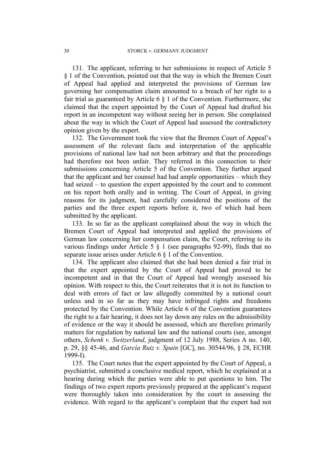131. The applicant, referring to her submissions in respect of Article 5 § 1 of the Convention, pointed out that the way in which the Bremen Court of Appeal had applied and interpreted the provisions of German law governing her compensation claim amounted to a breach of her right to a fair trial as guaranteed by Article  $6 \nless 1$  of the Convention. Furthermore, she claimed that the expert appointed by the Court of Appeal had drafted his report in an incompetent way without seeing her in person. She complained about the way in which the Court of Appeal had assessed the contradictory opinion given by the expert.

132. The Government took the view that the Bremen Court of Appeal's assessment of the relevant facts and interpretation of the applicable provisions of national law had not been arbitrary and that the proceedings had therefore not been unfair. They referred in this connection to their submissions concerning Article 5 of the Convention. They further argued that the applicant and her counsel had had ample opportunities – which they had seized – to question the expert appointed by the court and to comment on his report both orally and in writing. The Court of Appeal, in giving reasons for its judgment, had carefully considered the positions of the parties and the three expert reports before it, two of which had been submitted by the applicant.

133. In so far as the applicant complained about the way in which the Bremen Court of Appeal had interpreted and applied the provisions of German law concerning her compensation claim, the Court, referring to its various findings under Article 5 § 1 (see paragraphs 92-99), finds that no separate issue arises under Article 6 § 1 of the Convention.

134. The applicant also claimed that she had been denied a fair trial in that the expert appointed by the Court of Appeal had proved to be incompetent and in that the Court of Appeal had wrongly assessed his opinion. With respect to this, the Court reiterates that it is not its function to deal with errors of fact or law allegedly committed by a national court unless and in so far as they may have infringed rights and freedoms protected by the Convention. While Article 6 of the Convention guarantees the right to a fair hearing, it does not lay down any rules on the admissibility of evidence or the way it should be assessed, which are therefore primarily matters for regulation by national law and the national courts (see, amongst others, *Schenk v. Switzerland*, judgment of 12 July 1988, Series A no. 140, p. 29, §§ 45-46, and *García Ruiz v. Spain* [GC], no. 30544/96, § 28, ECHR 1999-I).

135. The Court notes that the expert appointed by the Court of Appeal, a psychiatrist, submitted a conclusive medical report, which he explained at a hearing during which the parties were able to put questions to him. The findings of two expert reports previously prepared at the applicant's request were thoroughly taken into consideration by the court in assessing the evidence. With regard to the applicant's complaint that the expert had not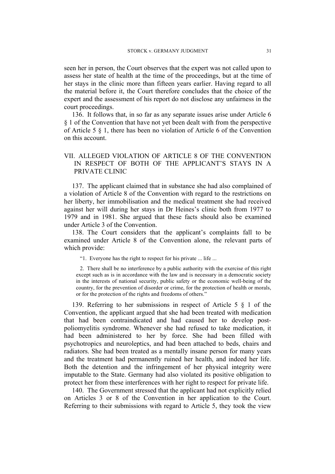seen her in person, the Court observes that the expert was not called upon to assess her state of health at the time of the proceedings, but at the time of her stays in the clinic more than fifteen years earlier. Having regard to all the material before it, the Court therefore concludes that the choice of the expert and the assessment of his report do not disclose any unfairness in the court proceedings.

136. It follows that, in so far as any separate issues arise under Article 6 § 1 of the Convention that have not yet been dealt with from the perspective of Article 5 § 1, there has been no violation of Article 6 of the Convention on this account.

# VII. ALLEGED VIOLATION OF ARTICLE 8 OF THE CONVENTION IN RESPECT OF BOTH OF THE APPLICANT'S STAYS IN A PRIVATE CLINIC

137. The applicant claimed that in substance she had also complained of a violation of Article 8 of the Convention with regard to the restrictions on her liberty, her immobilisation and the medical treatment she had received against her will during her stays in Dr Heines's clinic both from 1977 to 1979 and in 1981. She argued that these facts should also be examined under Article 3 of the Convention.

138. The Court considers that the applicant's complaints fall to be examined under Article 8 of the Convention alone, the relevant parts of which provide:

"1. Everyone has the right to respect for his private ... life ...

2. There shall be no interference by a public authority with the exercise of this right except such as is in accordance with the law and is necessary in a democratic society in the interests of national security, public safety or the economic well-being of the country, for the prevention of disorder or crime, for the protection of health or morals, or for the protection of the rights and freedoms of others."

139. Referring to her submissions in respect of Article 5 § 1 of the Convention, the applicant argued that she had been treated with medication that had been contraindicated and had caused her to develop postpoliomyelitis syndrome. Whenever she had refused to take medication, it had been administered to her by force. She had been filled with psychotropics and neuroleptics, and had been attached to beds, chairs and radiators. She had been treated as a mentally insane person for many years and the treatment had permanently ruined her health, and indeed her life. Both the detention and the infringement of her physical integrity were imputable to the State. Germany had also violated its positive obligation to protect her from these interferences with her right to respect for private life.

140. The Government stressed that the applicant had not explicitly relied on Articles 3 or 8 of the Convention in her application to the Court. Referring to their submissions with regard to Article 5, they took the view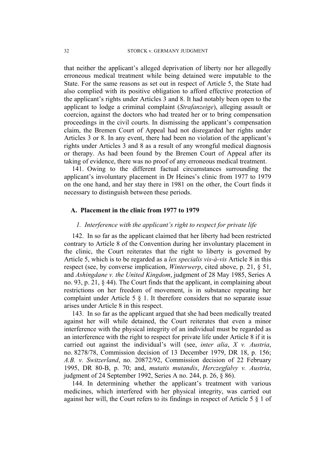that neither the applicant's alleged deprivation of liberty nor her allegedly erroneous medical treatment while being detained were imputable to the State. For the same reasons as set out in respect of Article 5, the State had also complied with its positive obligation to afford effective protection of the applicant's rights under Articles 3 and 8. It had notably been open to the applicant to lodge a criminal complaint (*Strafanzeige*), alleging assault or coercion, against the doctors who had treated her or to bring compensation proceedings in the civil courts. In dismissing the applicant's compensation claim, the Bremen Court of Appeal had not disregarded her rights under Articles 3 or 8. In any event, there had been no violation of the applicant's rights under Articles 3 and 8 as a result of any wrongful medical diagnosis or therapy. As had been found by the Bremen Court of Appeal after its taking of evidence, there was no proof of any erroneous medical treatment.

141. Owing to the different factual circumstances surrounding the applicant's involuntary placement in Dr Heines's clinic from 1977 to 1979 on the one hand, and her stay there in 1981 on the other, the Court finds it necessary to distinguish between these periods.

### **A. Placement in the clinic from 1977 to 1979**

# *1. Interference with the applicant's right to respect for private life*

142. In so far as the applicant claimed that her liberty had been restricted contrary to Article 8 of the Convention during her involuntary placement in the clinic, the Court reiterates that the right to liberty is governed by Article 5, which is to be regarded as a *lex specialis vis-à-vis* Article 8 in this respect (see, by converse implication, *Winterwerp*, cited above, p. 21, § 51, and *Ashingdane v. the United Kingdom*, judgment of 28 May 1985, Series A no. 93, p. 21, § 44). The Court finds that the applicant, in complaining about restrictions on her freedom of movement, is in substance repeating her complaint under Article 5 § 1. It therefore considers that no separate issue arises under Article 8 in this respect.

143. In so far as the applicant argued that she had been medically treated against her will while detained, the Court reiterates that even a minor interference with the physical integrity of an individual must be regarded as an interference with the right to respect for private life under Article 8 if it is carried out against the individual's will (see, *inter alia*, *X v. Austria*, no. 8278/78, Commission decision of 13 December 1979, DR 18, p. 156; *A.B. v. Switzerland*, no. 20872/92, Commission decision of 22 February 1995, DR 80-B, p. 70; and, *mutatis mutandis*, *Herczegfalvy v. Austria*, judgment of 24 September 1992, Series A no. 244, p. 26, § 86).

144. In determining whether the applicant's treatment with various medicines, which interfered with her physical integrity, was carried out against her will, the Court refers to its findings in respect of Article 5 § 1 of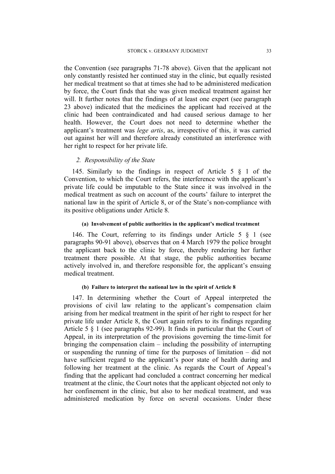the Convention (see paragraphs 71-78 above). Given that the applicant not only constantly resisted her continued stay in the clinic, but equally resisted her medical treatment so that at times she had to be administered medication by force, the Court finds that she was given medical treatment against her will. It further notes that the findings of at least one expert (see paragraph) 23 above) indicated that the medicines the applicant had received at the clinic had been contraindicated and had caused serious damage to her health. However, the Court does not need to determine whether the applicant's treatment was *lege artis*, as, irrespective of this, it was carried out against her will and therefore already constituted an interference with her right to respect for her private life.

## *2. Responsibility of the State*

145. Similarly to the findings in respect of Article 5 § 1 of the Convention, to which the Court refers, the interference with the applicant's private life could be imputable to the State since it was involved in the medical treatment as such on account of the courts' failure to interpret the national law in the spirit of Article 8, or of the State's non-compliance with its positive obligations under Article 8.

#### **(a) Involvement of public authorities in the applicant's medical treatment**

146. The Court, referring to its findings under Article 5 § 1 (see paragraphs 90-91 above), observes that on 4 March 1979 the police brought the applicant back to the clinic by force, thereby rendering her further treatment there possible. At that stage, the public authorities became actively involved in, and therefore responsible for, the applicant's ensuing medical treatment.

#### **(b) Failure to interpret the national law in the spirit of Article 8**

147. In determining whether the Court of Appeal interpreted the provisions of civil law relating to the applicant's compensation claim arising from her medical treatment in the spirit of her right to respect for her private life under Article 8, the Court again refers to its findings regarding Article 5 § 1 (see paragraphs 92-99). It finds in particular that the Court of Appeal, in its interpretation of the provisions governing the time-limit for bringing the compensation claim – including the possibility of interrupting or suspending the running of time for the purposes of limitation – did not have sufficient regard to the applicant's poor state of health during and following her treatment at the clinic. As regards the Court of Appeal's finding that the applicant had concluded a contract concerning her medical treatment at the clinic, the Court notes that the applicant objected not only to her confinement in the clinic, but also to her medical treatment, and was administered medication by force on several occasions. Under these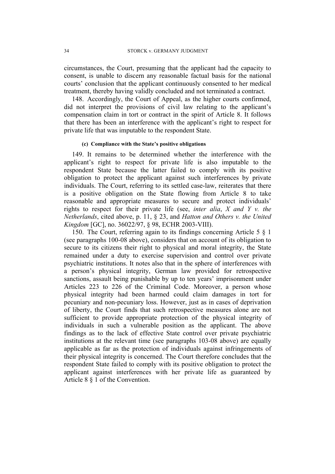circumstances, the Court, presuming that the applicant had the capacity to consent, is unable to discern any reasonable factual basis for the national courts' conclusion that the applicant continuously consented to her medical treatment, thereby having validly concluded and not terminated a contract.

148. Accordingly, the Court of Appeal, as the higher courts confirmed, did not interpret the provisions of civil law relating to the applicant's compensation claim in tort or contract in the spirit of Article 8. It follows that there has been an interference with the applicant's right to respect for private life that was imputable to the respondent State.

#### **(c) Compliance with the State's positive obligations**

149. It remains to be determined whether the interference with the applicant's right to respect for private life is also imputable to the respondent State because the latter failed to comply with its positive obligation to protect the applicant against such interferences by private individuals. The Court, referring to its settled case-law, reiterates that there is a positive obligation on the State flowing from Article 8 to take reasonable and appropriate measures to secure and protect individuals' rights to respect for their private life (see, *inter alia*, *X and Y v. the Netherlands*, cited above, p. 11, § 23, and *Hatton and Others v. the United Kingdom* [GC], no. 36022/97, § 98, ECHR 2003-VIII).

150. The Court, referring again to its findings concerning Article 5 § 1 (see paragraphs 100-08 above), considers that on account of its obligation to secure to its citizens their right to physical and moral integrity, the State remained under a duty to exercise supervision and control over private psychiatric institutions. It notes also that in the sphere of interferences with a person's physical integrity, German law provided for retrospective sanctions, assault being punishable by up to ten years' imprisonment under Articles 223 to 226 of the Criminal Code. Moreover, a person whose physical integrity had been harmed could claim damages in tort for pecuniary and non-pecuniary loss. However, just as in cases of deprivation of liberty, the Court finds that such retrospective measures alone are not sufficient to provide appropriate protection of the physical integrity of individuals in such a vulnerable position as the applicant. The above findings as to the lack of effective State control over private psychiatric institutions at the relevant time (see paragraphs 103-08 above) are equally applicable as far as the protection of individuals against infringements of their physical integrity is concerned. The Court therefore concludes that the respondent State failed to comply with its positive obligation to protect the applicant against interferences with her private life as guaranteed by Article 8 § 1 of the Convention.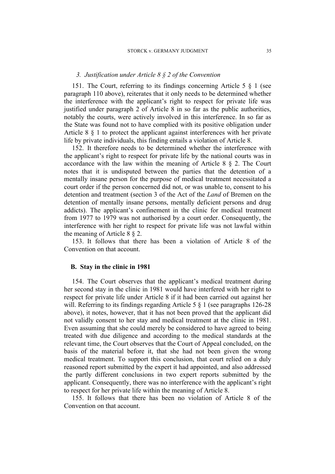### *3. Justification under Article 8 § 2 of the Convention*

151. The Court, referring to its findings concerning Article 5 § 1 (see paragraph 110 above), reiterates that it only needs to be determined whether the interference with the applicant's right to respect for private life was justified under paragraph 2 of Article 8 in so far as the public authorities, notably the courts, were actively involved in this interference. In so far as the State was found not to have complied with its positive obligation under Article 8 § 1 to protect the applicant against interferences with her private life by private individuals, this finding entails a violation of Article 8.

152. It therefore needs to be determined whether the interference with the applicant's right to respect for private life by the national courts was in accordance with the law within the meaning of Article 8 § 2. The Court notes that it is undisputed between the parties that the detention of a mentally insane person for the purpose of medical treatment necessitated a court order if the person concerned did not, or was unable to, consent to his detention and treatment (section 3 of the Act of the *Land* of Bremen on the detention of mentally insane persons, mentally deficient persons and drug addicts). The applicant's confinement in the clinic for medical treatment from 1977 to 1979 was not authorised by a court order. Consequently, the interference with her right to respect for private life was not lawful within the meaning of Article 8 § 2.

153. It follows that there has been a violation of Article 8 of the Convention on that account.

#### **B. Stay in the clinic in 1981**

154. The Court observes that the applicant's medical treatment during her second stay in the clinic in 1981 would have interfered with her right to respect for private life under Article 8 if it had been carried out against her will. Referring to its findings regarding Article 5  $\S$  1 (see paragraphs 126-28) above), it notes, however, that it has not been proved that the applicant did not validly consent to her stay and medical treatment at the clinic in 1981. Even assuming that she could merely be considered to have agreed to being treated with due diligence and according to the medical standards at the relevant time, the Court observes that the Court of Appeal concluded, on the basis of the material before it, that she had not been given the wrong medical treatment. To support this conclusion, that court relied on a duly reasoned report submitted by the expert it had appointed, and also addressed the partly different conclusions in two expert reports submitted by the applicant. Consequently, there was no interference with the applicant's right to respect for her private life within the meaning of Article 8.

155. It follows that there has been no violation of Article 8 of the Convention on that account.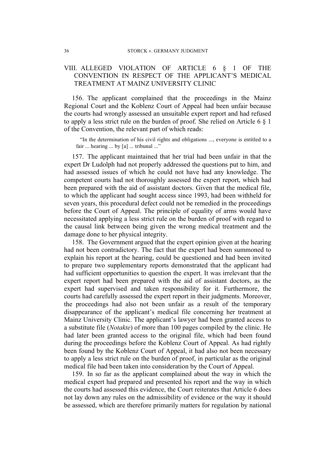# VIII. ALLEGED VIOLATION OF ARTICLE 6 § 1 OF THE CONVENTION IN RESPECT OF THE APPLICANT'S MEDICAL TREATMENT AT MAINZ UNIVERSITY CLINIC

156. The applicant complained that the proceedings in the Mainz Regional Court and the Koblenz Court of Appeal had been unfair because the courts had wrongly assessed an unsuitable expert report and had refused to apply a less strict rule on the burden of proof. She relied on Article 6  $\S$  1 of the Convention, the relevant part of which reads:

"In the determination of his civil rights and obligations ..., everyone is entitled to a fair ... hearing ... by [a] ... tribunal ..."

157. The applicant maintained that her trial had been unfair in that the expert Dr Ludolph had not properly addressed the questions put to him, and had assessed issues of which he could not have had any knowledge. The competent courts had not thoroughly assessed the expert report, which had been prepared with the aid of assistant doctors. Given that the medical file, to which the applicant had sought access since 1993, had been withheld for seven years, this procedural defect could not be remedied in the proceedings before the Court of Appeal. The principle of equality of arms would have necessitated applying a less strict rule on the burden of proof with regard to the causal link between being given the wrong medical treatment and the damage done to her physical integrity.

158. The Government argued that the expert opinion given at the hearing had not been contradictory. The fact that the expert had been summoned to explain his report at the hearing, could be questioned and had been invited to prepare two supplementary reports demonstrated that the applicant had had sufficient opportunities to question the expert. It was irrelevant that the expert report had been prepared with the aid of assistant doctors, as the expert had supervised and taken responsibility for it. Furthermore, the courts had carefully assessed the expert report in their judgments. Moreover, the proceedings had also not been unfair as a result of the temporary disappearance of the applicant's medical file concerning her treatment at Mainz University Clinic. The applicant's lawyer had been granted access to a substitute file (*Notakte*) of more than 100 pages compiled by the clinic. He had later been granted access to the original file, which had been found during the proceedings before the Koblenz Court of Appeal. As had rightly been found by the Koblenz Court of Appeal, it had also not been necessary to apply a less strict rule on the burden of proof, in particular as the original medical file had been taken into consideration by the Court of Appeal.

159. In so far as the applicant complained about the way in which the medical expert had prepared and presented his report and the way in which the courts had assessed this evidence, the Court reiterates that Article 6 does not lay down any rules on the admissibility of evidence or the way it should be assessed, which are therefore primarily matters for regulation by national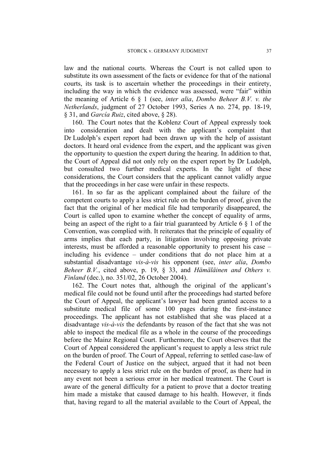law and the national courts. Whereas the Court is not called upon to substitute its own assessment of the facts or evidence for that of the national courts, its task is to ascertain whether the proceedings in their entirety, including the way in which the evidence was assessed, were "fair" within the meaning of Article 6 § 1 (see, *inter alia*, *Dombo Beheer B.V. v. the Netherlands*, judgment of 27 October 1993, Series A no. 274, pp. 18-19, § 31, and *García Ruiz*, cited above, § 28).

160. The Court notes that the Koblenz Court of Appeal expressly took into consideration and dealt with the applicant's complaint that Dr Ludolph's expert report had been drawn up with the help of assistant doctors. It heard oral evidence from the expert, and the applicant was given the opportunity to question the expert during the hearing. In addition to that, the Court of Appeal did not only rely on the expert report by Dr Ludolph, but consulted two further medical experts. In the light of these considerations, the Court considers that the applicant cannot validly argue that the proceedings in her case were unfair in these respects.

161. In so far as the applicant complained about the failure of the competent courts to apply a less strict rule on the burden of proof, given the fact that the original of her medical file had temporarily disappeared, the Court is called upon to examine whether the concept of equality of arms, being an aspect of the right to a fair trial guaranteed by Article 6 § 1 of the Convention, was complied with. It reiterates that the principle of equality of arms implies that each party, in litigation involving opposing private interests, must be afforded a reasonable opportunity to present his case – including his evidence – under conditions that do not place him at a substantial disadvantage *vis-à-vis* his opponent (see, *inter alia*, *Dombo Beheer B.V.*, cited above, p. 19, § 33, and *Hämäläinen and Others v. Finland* (dec.), no. 351/02, 26 October 2004).

162. The Court notes that, although the original of the applicant's medical file could not be found until after the proceedings had started before the Court of Appeal, the applicant's lawyer had been granted access to a substitute medical file of some 100 pages during the first-instance proceedings. The applicant has not established that she was placed at a disadvantage *vis-à-vis* the defendants by reason of the fact that she was not able to inspect the medical file as a whole in the course of the proceedings before the Mainz Regional Court. Furthermore, the Court observes that the Court of Appeal considered the applicant's request to apply a less strict rule on the burden of proof. The Court of Appeal, referring to settled case-law of the Federal Court of Justice on the subject, argued that it had not been necessary to apply a less strict rule on the burden of proof, as there had in any event not been a serious error in her medical treatment. The Court is aware of the general difficulty for a patient to prove that a doctor treating him made a mistake that caused damage to his health. However, it finds that, having regard to all the material available to the Court of Appeal, the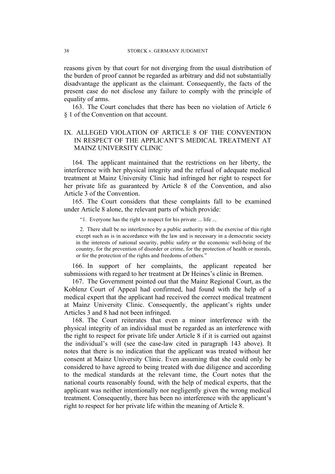reasons given by that court for not diverging from the usual distribution of the burden of proof cannot be regarded as arbitrary and did not substantially disadvantage the applicant as the claimant. Consequently, the facts of the present case do not disclose any failure to comply with the principle of equality of arms.

163. The Court concludes that there has been no violation of Article 6 § 1 of the Convention on that account.

# IX. ALLEGED VIOLATION OF ARTICLE 8 OF THE CONVENTION IN RESPECT OF THE APPLICANT'S MEDICAL TREATMENT AT MAINZ UNIVERSITY CLINIC

164. The applicant maintained that the restrictions on her liberty, the interference with her physical integrity and the refusal of adequate medical treatment at Mainz University Clinic had infringed her right to respect for her private life as guaranteed by Article 8 of the Convention, and also Article 3 of the Convention.

165. The Court considers that these complaints fall to be examined under Article 8 alone, the relevant parts of which provide:

"1. Everyone has the right to respect for his private ... life ...

2. There shall be no interference by a public authority with the exercise of this right except such as is in accordance with the law and is necessary in a democratic society in the interests of national security, public safety or the economic well-being of the country, for the prevention of disorder or crime, for the protection of health or morals, or for the protection of the rights and freedoms of others."

166. In support of her complaints, the applicant repeated her submissions with regard to her treatment at Dr Heines's clinic in Bremen.

167. The Government pointed out that the Mainz Regional Court, as the Koblenz Court of Appeal had confirmed, had found with the help of a medical expert that the applicant had received the correct medical treatment at Mainz University Clinic. Consequently, the applicant's rights under Articles 3 and 8 had not been infringed.

168. The Court reiterates that even a minor interference with the physical integrity of an individual must be regarded as an interference with the right to respect for private life under Article 8 if it is carried out against the individual's will (see the case-law cited in paragraph 143 above). It notes that there is no indication that the applicant was treated without her consent at Mainz University Clinic. Even assuming that she could only be considered to have agreed to being treated with due diligence and according to the medical standards at the relevant time, the Court notes that the national courts reasonably found, with the help of medical experts, that the applicant was neither intentionally nor negligently given the wrong medical treatment. Consequently, there has been no interference with the applicant's right to respect for her private life within the meaning of Article 8.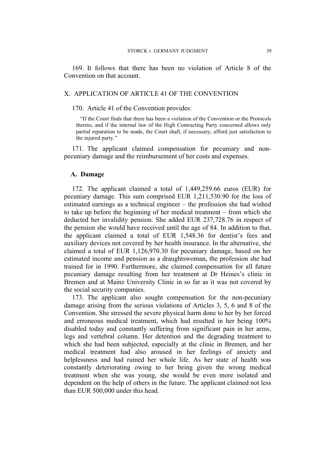169. It follows that there has been no violation of Article 8 of the Convention on that account.

### X. APPLICATION OF ARTICLE 41 OF THE CONVENTION

170. Article 41 of the Convention provides:

"If the Court finds that there has been a violation of the Convention or the Protocols thereto, and if the internal law of the High Contracting Party concerned allows only partial reparation to be made, the Court shall, if necessary, afford just satisfaction to the injured party."

171. The applicant claimed compensation for pecuniary and nonpecuniary damage and the reimbursement of her costs and expenses.

### **A. Damage**

172. The applicant claimed a total of 1,449,259.66 euros (EUR) for pecuniary damage. This sum comprised EUR 1,211,530.90 for the loss of estimated earnings as a technical engineer – the profession she had wished to take up before the beginning of her medical treatment – from which she deducted her invalidity pension. She added EUR 237,728.76 in respect of the pension she would have received until the age of 84. In addition to that, the applicant claimed a total of EUR 1,548.36 for dentist's fees and auxiliary devices not covered by her health insurance. In the alternative, she claimed a total of EUR 1,126,970.30 for pecuniary damage, based on her estimated income and pension as a draughtswoman, the profession she had trained for in 1990. Furthermore, she claimed compensation for all future pecuniary damage resulting from her treatment at Dr Heines's clinic in Bremen and at Mainz University Clinic in so far as it was not covered by the social security companies.

173. The applicant also sought compensation for the non-pecuniary damage arising from the serious violations of Articles 3, 5, 6 and 8 of the Convention. She stressed the severe physical harm done to her by her forced and erroneous medical treatment, which had resulted in her being 100% disabled today and constantly suffering from significant pain in her arms, legs and vertebral column. Her detention and the degrading treatment to which she had been subjected, especially at the clinic in Bremen, and her medical treatment had also aroused in her feelings of anxiety and helplessness and had ruined her whole life. As her state of health was constantly deteriorating owing to her being given the wrong medical treatment when she was young, she would be even more isolated and dependent on the help of others in the future. The applicant claimed not less than EUR 500,000 under this head.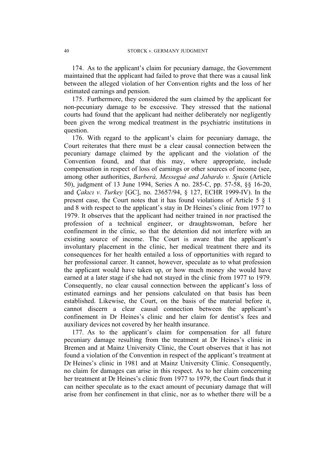174. As to the applicant's claim for pecuniary damage, the Government maintained that the applicant had failed to prove that there was a causal link between the alleged violation of her Convention rights and the loss of her estimated earnings and pension.

175. Furthermore, they considered the sum claimed by the applicant for non-pecuniary damage to be excessive. They stressed that the national courts had found that the applicant had neither deliberately nor negligently been given the wrong medical treatment in the psychiatric institutions in question.

176. With regard to the applicant's claim for pecuniary damage, the Court reiterates that there must be a clear causal connection between the pecuniary damage claimed by the applicant and the violation of the Convention found, and that this may, where appropriate, include compensation in respect of loss of earnings or other sources of income (see, among other authorities, *Barberà, Messegué and Jabardo v. Spain* (Article 50), judgment of 13 June 1994, Series A no. 285-C, pp. 57-58, §§ 16-20, and *Çakıcı v. Turkey* [GC], no. 23657/94, § 127, ECHR 1999-IV). In the present case, the Court notes that it has found violations of Article 5 § 1 and 8 with respect to the applicant's stay in Dr Heines's clinic from 1977 to 1979. It observes that the applicant had neither trained in nor practised the profession of a technical engineer, or draughtswoman, before her confinement in the clinic, so that the detention did not interfere with an existing source of income. The Court is aware that the applicant's involuntary placement in the clinic, her medical treatment there and its consequences for her health entailed a loss of opportunities with regard to her professional career. It cannot, however, speculate as to what profession the applicant would have taken up, or how much money she would have earned at a later stage if she had not stayed in the clinic from 1977 to 1979. Consequently, no clear causal connection between the applicant's loss of estimated earnings and her pensions calculated on that basis has been established. Likewise, the Court, on the basis of the material before it, cannot discern a clear causal connection between the applicant's confinement in Dr Heines's clinic and her claim for dentist's fees and auxiliary devices not covered by her health insurance.

177. As to the applicant's claim for compensation for all future pecuniary damage resulting from the treatment at Dr Heines's clinic in Bremen and at Mainz University Clinic, the Court observes that it has not found a violation of the Convention in respect of the applicant's treatment at Dr Heines's clinic in 1981 and at Mainz University Clinic. Consequently, no claim for damages can arise in this respect. As to her claim concerning her treatment at Dr Heines's clinic from 1977 to 1979, the Court finds that it can neither speculate as to the exact amount of pecuniary damage that will arise from her confinement in that clinic, nor as to whether there will be a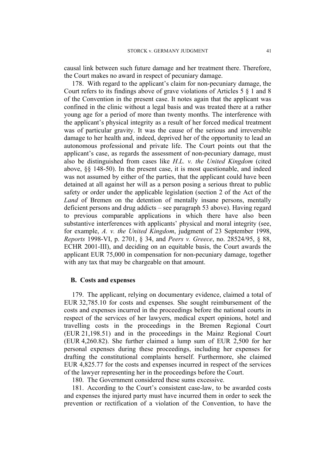causal link between such future damage and her treatment there. Therefore, the Court makes no award in respect of pecuniary damage.

178. With regard to the applicant's claim for non-pecuniary damage, the Court refers to its findings above of grave violations of Articles 5 § 1 and 8 of the Convention in the present case. It notes again that the applicant was confined in the clinic without a legal basis and was treated there at a rather young age for a period of more than twenty months. The interference with the applicant's physical integrity as a result of her forced medical treatment was of particular gravity. It was the cause of the serious and irreversible damage to her health and, indeed, deprived her of the opportunity to lead an autonomous professional and private life. The Court points out that the applicant's case, as regards the assessment of non-pecuniary damage, must also be distinguished from cases like *H.L. v. the United Kingdom* (cited above, §§ 148-50). In the present case, it is most questionable, and indeed was not assumed by either of the parties, that the applicant could have been detained at all against her will as a person posing a serious threat to public safety or order under the applicable legislation (section 2 of the Act of the *Land* of Bremen on the detention of mentally insane persons, mentally deficient persons and drug addicts – see paragraph 53 above). Having regard to previous comparable applications in which there have also been substantive interferences with applicants' physical and moral integrity (see, for example, *A. v. the United Kingdom*, judgment of 23 September 1998, *Reports* 1998-VI, p. 2701, § 34, and *Peers v. Greece*, no. 28524/95, § 88, ECHR 2001-III), and deciding on an equitable basis, the Court awards the applicant EUR 75,000 in compensation for non-pecuniary damage, together with any tax that may be chargeable on that amount.

### **B. Costs and expenses**

179. The applicant, relying on documentary evidence, claimed a total of EUR 32,785.10 for costs and expenses. She sought reimbursement of the costs and expenses incurred in the proceedings before the national courts in respect of the services of her lawyers, medical expert opinions, hotel and travelling costs in the proceedings in the Bremen Regional Court (EUR 21,198.51) and in the proceedings in the Mainz Regional Court (EUR 4,260.82). She further claimed a lump sum of EUR 2,500 for her personal expenses during these proceedings, including her expenses for drafting the constitutional complaints herself. Furthermore, she claimed EUR 4,825.77 for the costs and expenses incurred in respect of the services of the lawyer representing her in the proceedings before the Court.

180. The Government considered these sums excessive.

181. According to the Court's consistent case-law, to be awarded costs and expenses the injured party must have incurred them in order to seek the prevention or rectification of a violation of the Convention, to have the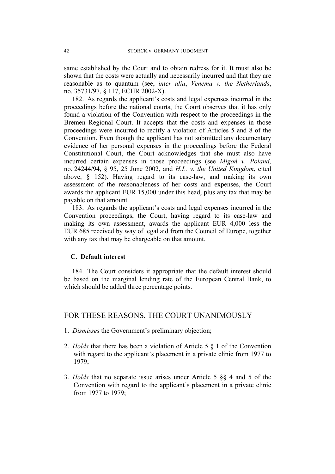same established by the Court and to obtain redress for it. It must also be shown that the costs were actually and necessarily incurred and that they are reasonable as to quantum (see, *inter alia*, *Venema v. the Netherlands*, no. 35731/97, § 117, ECHR 2002-X).

182. As regards the applicant's costs and legal expenses incurred in the proceedings before the national courts, the Court observes that it has only found a violation of the Convention with respect to the proceedings in the Bremen Regional Court. It accepts that the costs and expenses in those proceedings were incurred to rectify a violation of Articles 5 and 8 of the Convention. Even though the applicant has not submitted any documentary evidence of her personal expenses in the proceedings before the Federal Constitutional Court, the Court acknowledges that she must also have incurred certain expenses in those proceedings (see *Migoń v. Poland*, no. 24244/94, § 95, 25 June 2002, and *H.L. v. the United Kingdom*, cited above, § 152). Having regard to its case-law, and making its own assessment of the reasonableness of her costs and expenses, the Court awards the applicant EUR 15,000 under this head, plus any tax that may be payable on that amount.

183. As regards the applicant's costs and legal expenses incurred in the Convention proceedings, the Court, having regard to its case-law and making its own assessment, awards the applicant EUR 4,000 less the EUR 685 received by way of legal aid from the Council of Europe, together with any tax that may be chargeable on that amount.

# **C. Default interest**

184. The Court considers it appropriate that the default interest should be based on the marginal lending rate of the European Central Bank, to which should be added three percentage points.

# FOR THESE REASONS, THE COURT UNANIMOUSLY

- 1. *Dismisses* the Government's preliminary objection;
- 2. *Holds* that there has been a violation of Article 5 § 1 of the Convention with regard to the applicant's placement in a private clinic from 1977 to 1979;
- 3. *Holds* that no separate issue arises under Article 5 §§ 4 and 5 of the Convention with regard to the applicant's placement in a private clinic from 1977 to 1979;